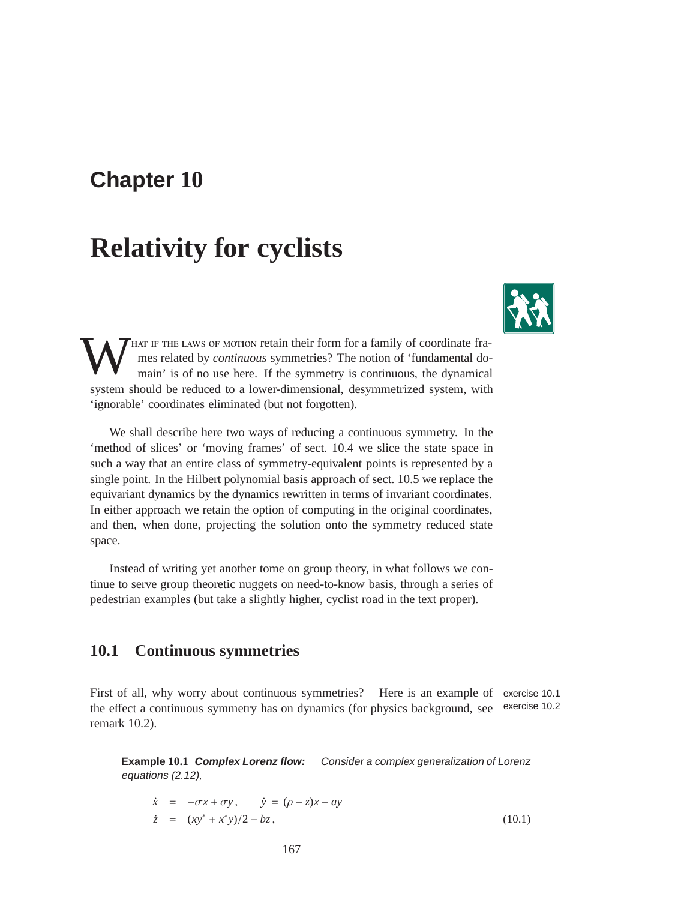## **Chapter 10**

# **Relativity for cyclists**



W THAT IF THE LAWS OF MOTION retain their form for a family of coordinate frames related by *continuous* symmetries? The notion of 'fundamental domain' is of no use here. If the symmetry is continuous, the dynamical system should be reduced to a lower-dimensional, desymmetrized system, with 'ignorable' coordinates eliminated (but not forgotten).

We shall describe here two ways of reducing a continuous symmetry. In the 'method of slices' or 'moving frames' of sect. 10.4 we slice the state space in such a way that an entire class of symmetry-equivalent points is represented by a single point. In the Hilbert polynomial basis approach of sect. 10.5 we replace the equivariant dynamics by the dynamics rewritten in terms of invariant coordinates. In either approach we retain the option of computing in the original coordinates, and then, when done, projecting the solution onto the symmetry reduced state space.

Instead of writing yet another tome on group theory, in what follows we continue to serve group theoretic nuggets on need-to-know basis, through a series of pedestrian examples (but take a slightly higher, cyclist road in the text proper).

## **10.1 Continuous symmetries**

First of all, why worry about continuous symmetries? Here is an example of exercise 10.1 the effect a continuous symmetry has on dynamics (for physics background, see exercise 10.2 remark 10.2).

**Example 10.1 Complex Lorenz flow:** Consider <sup>a</sup> complex generalization of Lorenz equations (2.12),

$$
\dot{x} = -\sigma x + \sigma y, \qquad \dot{y} = (\rho - z)x - ay
$$
  
\n
$$
\dot{z} = (xy^* + x^*y)/2 - bz,
$$
\n(10.1)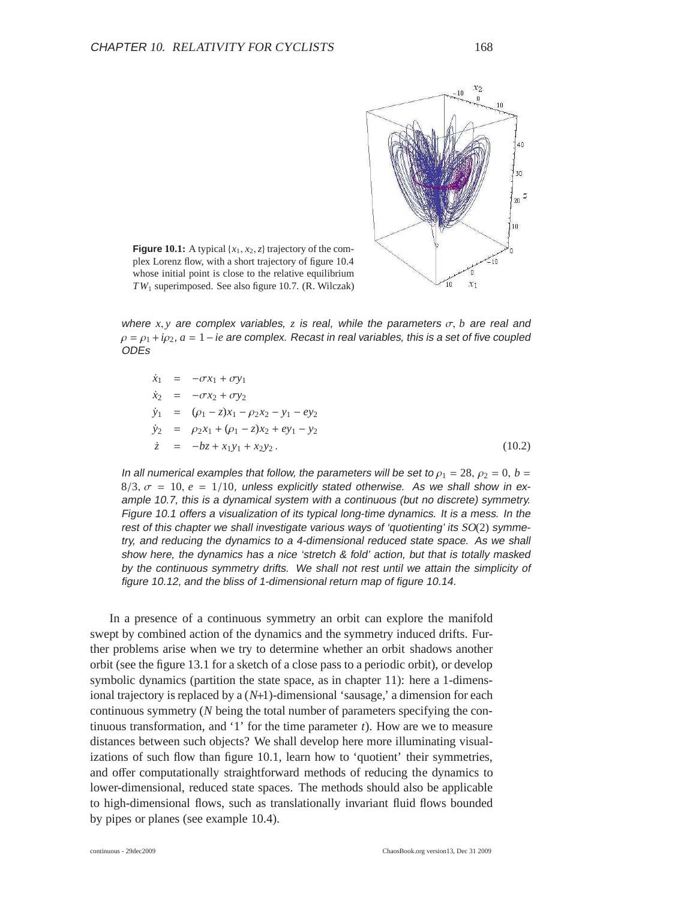

**Figure 10.1:** A typical  $\{x_1, x_2, z\}$  trajectory of the complex Lorenz flow, with a short trajectory of figure 10.4 whose initial point is close to the relative equilibrium *T W*<sup>1</sup> superimposed. See also figure 10.7. (R. Wilczak)

where  $x, y$  are complex variables, z is real, while the parameters  $\sigma$ , *b* are real and  $\rho = \rho_1 + i \rho_2$ ,  $a = 1 - ie$  are complex. Recast in real variables, this is a set of five coupled ODEs

 $\dot{x}_1$  =  $-\sigma x_1 + \sigma y_1$  $\dot{x}_2 = -\sigma x_2 + \sigma y_2$  $\dot{y}_1$  =  $(\rho_1 - z)x_1 - \rho_2 x_2 - y_1 - ey_2$  $\dot{y}_2$  =  $\rho_2 x_1 + (\rho_1 - z)x_2 + ey_1 - y_2$  $\dot{z} = -bz + x_1y_1 + x_2y_2.$  (10.2)

In all numerical examples that follow, the parameters will be set to  $\rho_1 = 28$ ,  $\rho_2 = 0$ ,  $b =$  $8/3$ ,  $\sigma = 10$ ,  $e = 1/10$ , unless explicitly stated otherwise. As we shall show in example 10.7, this is <sup>a</sup> dynamical system with <sup>a</sup> continuous (but no discrete) symmetry. Figure 10.1 offers <sup>a</sup> visualization of its typical long-time dynamics. It is <sup>a</sup> mess. In the rest of this chapter we shall investigate various ways of 'quotienting' its  $SO(2)$  symmetry, and reducing the dynamics to <sup>a</sup> 4-dimensional reduced state space. As we shall show here, the dynamics has <sup>a</sup> nice 'stretch & fold' action, but that is totally masked by the continuous symmetry drifts. We shall not rest until we attain the simplicity of figure 10.12, and the bliss of 1-dimensional return map of figure 10.14.

In a presence of a continuous symmetry an orbit can explore the manifold swept by combined action of the dynamics and the symmetry induced drifts. Further problems arise when we try to determine whether an orbit shadows another orbit (see the figure 13.1 for a sketch of a close pass to a periodic orbit), or develop symbolic dynamics (partition the state space, as in chapter 11): here a 1-dimensional trajectory is replaced by a (*N*+1)-dimensional 'sausage,' a dimension for each continuous symmetry (*N* being the total number of parameters specifying the continuous transformation, and '1' for the time parameter *t*). How are we to measure distances between such objects? We shall develop here more illuminating visualizations of such flow than figure 10.1, learn how to 'quotient' their symmetries, and offer computationally straightforward methods of reducing the dynamics to lower-dimensional, reduced state spaces. The methods should also be applicable to high-dimensional flows, such as translationally invariant fluid flows bounded by pipes or planes (see example 10.4).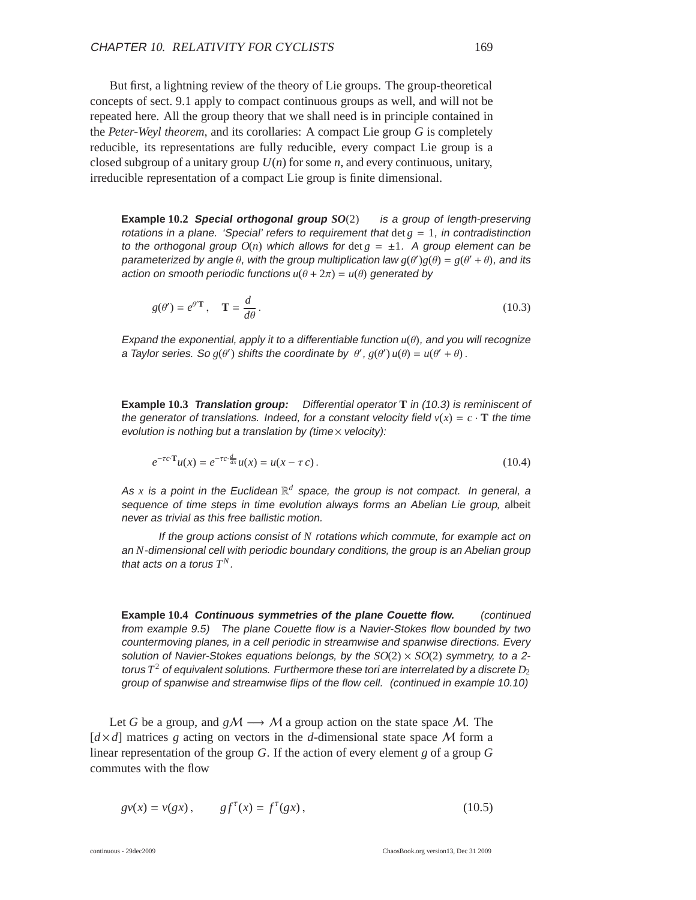But first, a lightning review of the theory of Lie groups. The group-theoretical concepts of sect. 9.1 apply to compact continuous groups as well, and will not be repeated here. All the group theory that we shall need is in principle contained in the *Peter-Weyl theorem*, and its corollaries: A compact Lie group *G* is completely reducible, its representations are fully reducible, every compact Lie group is a closed subgroup of a unitary group *U*(*n*) for some *n*, and every continuous, unitary, irreducible representation of a compact Lie group is finite dimensional.

**Example 10.2 Special orthogonal group** *SO*(2) is <sup>a</sup> group of length-preserving rotations in a plane. 'Special' refers to requirement that  $\det g = 1$ , in contradistinction to the orthogonal group  $O(n)$  which allows for det  $g = \pm 1$ . A group element can be parameterized by angle  $\theta$ , with the group multiplication law  $g(\theta')g(\theta) = g(\theta' + \theta)$ , and its action on smooth periodic functions  $u(\theta + 2\pi) = u(\theta)$  generated by

$$
g(\theta') = e^{\theta' \mathbf{T}}, \quad \mathbf{T} = \frac{d}{d\theta}.
$$
 (10.3)

Expand the exponential, apply it to a differentiable function  $u(\theta)$ , and you will recognize a Taylor series. So  $g(\theta')$  shifts the coordinate by  $\theta'$ ,  $g(\theta')u(\theta) = u(\theta' + \theta)$ .

**Example 10.3 Translation group:** Differential operator **T** in (10.3) is reminiscent of the generator of translations. Indeed, for a constant velocity field  $v(x) = c \cdot T$  the time evolution is nothing but a translation by (time $\times$  velocity):

$$
e^{-\tau c \cdot \mathbf{T}} u(x) = e^{-\tau c \cdot \frac{d}{dx}} u(x) = u(x - \tau c).
$$
 (10.4)

As x is a point in the Euclidean  $\mathbb{R}^d$  space, the group is not compact. In general, a sequence of time steps in time evolution always forms an Abelian Lie group, albeit never as trivial as this free ballistic motion.

If the group actions consist of *N* rotations which commute, for example act on an *N*-dimensional cell with periodic boundary conditions, the group is an Abelian group that acts on a torus  $T^N$ .

**Example 10.4 Continuous symmetries of the plane Couette flow.** (continued from example 9.5) The plane Couette flow is <sup>a</sup> Navier-Stokes flow bounded by two countermoving planes, in <sup>a</sup> cell periodic in streamwise and spanwise directions. Every solution of Navier-Stokes equations belongs, by the  $SO(2) \times SO(2)$  symmetry, to a 2torus  $T^2$  of equivalent solutions. Furthermore these tori are interrelated by a discrete  $D_2$ group of spanwise and streamwise flips of the flow cell. (continued in example 10.10)

Let *G* be a group, and  $gM \rightarrow M$  a group action on the state space M. The  $d \times d$  matrices *g* acting on vectors in the *d*-dimensional state space M form a linear representation of the group *G*. If the action of every element *g* of a group *G* commutes with the flow

$$
gv(x) = v(gx), \qquad gf^{\tau}(x) = f^{\tau}(gx),
$$
 (10.5)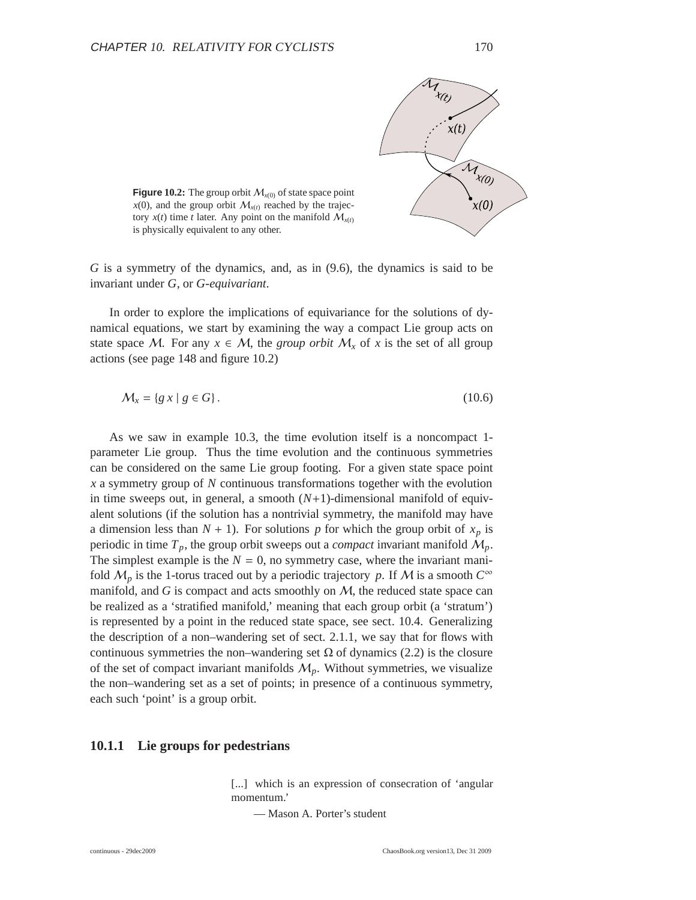

**Figure 10.2:** The group orbit  $M_{x(0)}$  of state space point  $x(0)$ , and the group orbit  $M_{x(t)}$  reached by the trajectory  $x(t)$  time *t* later. Any point on the manifold  $M_{x(t)}$ is physically equivalent to any other.

*G* is a symmetry of the dynamics, and, as in (9.6), the dynamics is said to be invariant under *G*, or *G*-*equivariant*.

In order to explore the implications of equivariance for the solutions of dynamical equations, we start by examining the way a compact Lie group acts on state space M. For any  $x \in M$ , the *group orbit*  $M_x$  of x is the set of all group actions (see page 148 and figure 10.2)

$$
\mathcal{M}_x = \{ g \, x \mid g \in G \}. \tag{10.6}
$$

As we saw in example 10.3, the time evolution itself is a noncompact 1 parameter Lie group. Thus the time evolution and the continuous symmetries can be considered on the same Lie group footing. For a given state space point *x* a symmetry group of *N* continuous transformations together with the evolution in time sweeps out, in general, a smooth  $(N+1)$ -dimensional manifold of equivalent solutions (if the solution has a nontrivial symmetry, the manifold may have a dimension less than  $N + 1$ ). For solutions p for which the group orbit of  $x_p$  is periodic in time  $T_p$ , the group orbit sweeps out a *compact* invariant manifold  $M_p$ . The simplest example is the  $N = 0$ , no symmetry case, where the invariant manifold  $M_p$  is the 1-torus traced out by a periodic trajectory *p*. If M is a smooth  $C^{\infty}$ manifold, and  $G$  is compact and acts smoothly on  $M$ , the reduced state space can be realized as a 'stratified manifold,' meaning that each group orbit (a 'stratum') is represented by a point in the reduced state space, see sect. 10.4. Generalizing the description of a non–wandering set of sect. 2.1.1, we say that for flows with continuous symmetries the non–wandering set  $\Omega$  of dynamics (2.2) is the closure of the set of compact invariant manifolds  $M_p$ . Without symmetries, we visualize the non–wandering set as a set of points; in presence of a continuous symmetry, each such 'point' is a group orbit.

#### **10.1.1 Lie groups for pedestrians**

[...] which is an expression of consecration of 'angular momentum.'

— Mason A. Porter's student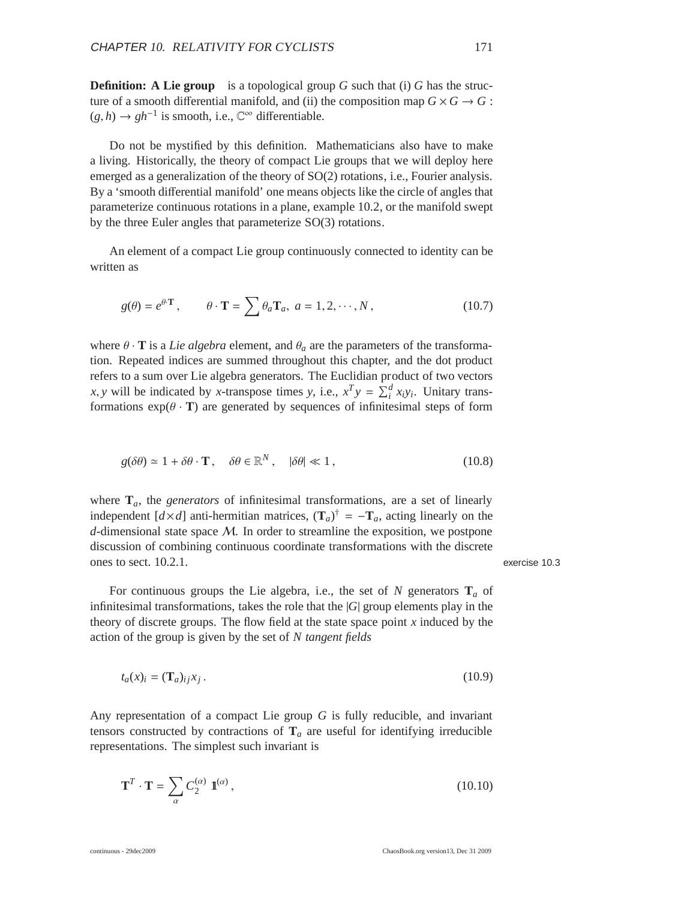**Definition:** A Lie group is a topological group *G* such that (i) *G* has the structure of a smooth differential manifold, and (ii) the composition map  $G \times G \to G$ :  $(g, h) \to gh^{-1}$  is smooth, i.e.,  $\mathbb{C}^{\infty}$  differentiable.

Do not be mystified by this definition. Mathematicians also have to make a living. Historically, the theory of compact Lie groups that we will deploy here emerged as a generalization of the theory of SO(2) rotations, i.e., Fourier analysis. By a 'smooth differential manifold' one means objects like the circle of angles that parameterize continuous rotations in a plane, example 10.2, or the manifold swept by the three Euler angles that parameterize SO(3) rotations.

An element of a compact Lie group continuously connected to identity can be written as

$$
g(\theta) = e^{\theta \cdot \mathbf{T}}, \qquad \theta \cdot \mathbf{T} = \sum \theta_a \mathbf{T}_a, \ a = 1, 2, \cdots, N,
$$
 (10.7)

where  $\theta \cdot \mathbf{T}$  is a *Lie algebra* element, and  $\theta_a$  are the parameters of the transformation. Repeated indices are summed throughout this chapter, and the dot product refers to a sum over Lie algebra generators. The Euclidian product of two vectors *x*, *y* will be indicated by *x*-transpose times *y*, i.e.,  $x^T y = \sum_i^d x_i y_i$ . Unitary transformations  $exp(\theta \cdot \mathbf{T})$  are generated by sequences of infinitesimal steps of form

$$
g(\delta\theta) \simeq 1 + \delta\theta \cdot \mathbf{T}, \quad \delta\theta \in \mathbb{R}^N, \quad |\delta\theta| \ll 1, \tag{10.8}
$$

where  $\mathbf{T}_a$ , the *generators* of infinitesimal transformations, are a set of linearly independent  $[d \times d]$  anti-hermitian matrices,  $(\mathbf{T}_a)^{\dagger} = -\mathbf{T}_a$ , acting linearly on the *d*-dimensional state space M. In order to streamline the exposition, we postpone discussion of combining continuous coordinate transformations with the discrete ones to sect. 10.2.1. exercise 10.3

For continuous groups the Lie algebra, i.e., the set of  $N$  generators  $\mathbf{T}_a$  of infinitesimal transformations, takes the role that the |*G*| group elements play in the theory of discrete groups. The flow field at the state space point *x* induced by the action of the group is given by the set of *N tangent fields*

$$
t_a(x)_i = (\mathbf{T}_a)_{ij} x_j. \tag{10.9}
$$

Any representation of a compact Lie group *G* is fully reducible, and invariant tensors constructed by contractions of  $T_a$  are useful for identifying irreducible representations. The simplest such invariant is

$$
\mathbf{T}^T \cdot \mathbf{T} = \sum_{\alpha} C_2^{(\alpha)} \mathbb{1}^{(\alpha)}, \tag{10.10}
$$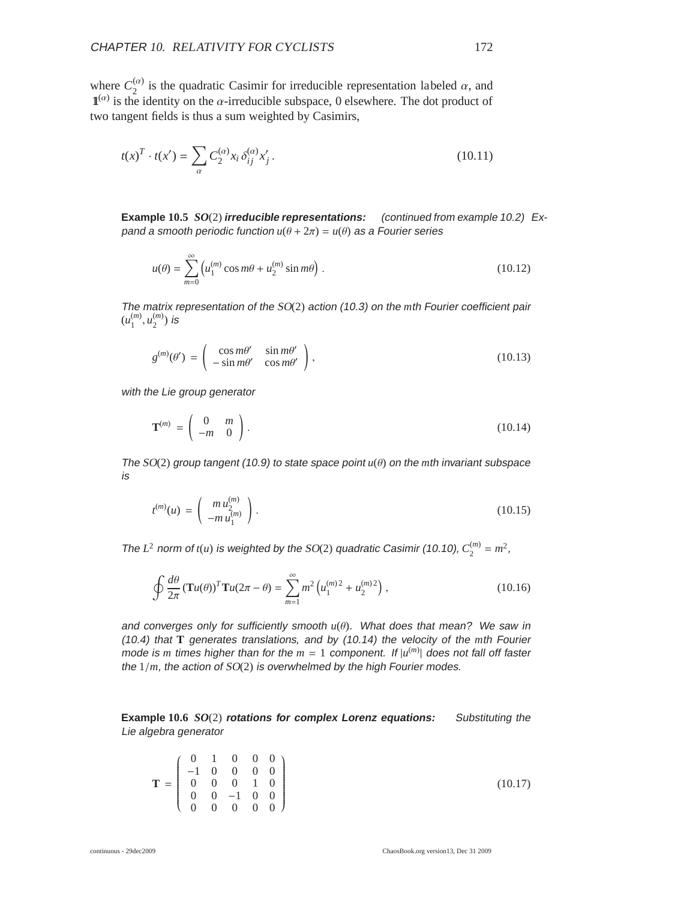where  $C_2^{(\alpha)}$  $\frac{\alpha}{2}$  is the quadratic Casimir for irreducible representation labeled  $\alpha$ , and  $\mathbf{1}^{(\alpha)}$  is the identity on the  $\alpha$ -irreducible subspace, 0 elsewhere. The dot product of two tangent fields is thus a sum weighted by Casimirs,

$$
t(x)^{T} \cdot t(x') = \sum_{\alpha} C_{2}^{(\alpha)} x_{i} \, \delta_{ij}^{(\alpha)} x'_{j} \,. \tag{10.11}
$$

**Example 10.5** *SO*(2) **irreducible representations:** (continued from example 10.2) Expand a smooth periodic function  $u(\theta + 2\pi) = u(\theta)$  as a Fourier series

$$
u(\theta) = \sum_{m=0}^{\infty} \left( u_1^{(m)} \cos m\theta + u_2^{(m)} \sin m\theta \right).
$$
 (10.12)

The matrix representation of the SO(2) action (10.3) on the *m*th Fourier coefficient pair  $(u_1^{(m)}$  $\binom{m}{1}, \binom{m}{2}$  $\binom{m}{2}$  is

$$
g^{(m)}(\theta') = \begin{pmatrix} \cos m\theta' & \sin m\theta' \\ -\sin m\theta' & \cos m\theta' \end{pmatrix},
$$
 (10.13)

with the Lie group generator

$$
\mathbf{T}^{(m)} = \begin{pmatrix} 0 & m \\ -m & 0 \end{pmatrix}.
$$
 (10.14)

The SO(2) group tangent (10.9) to state space point *u*(θ) on the *m*th invariant subspace is

$$
t^{(m)}(u) = \begin{pmatrix} m u_2^{(m)} \\ -m u_1^{(m)} \end{pmatrix}.
$$
 (10.15)

The  $L^2$  norm of  $t(u)$  is weighted by the SO(2) quadratic Casimir (10.10),  $C_2^{(m)}$  $2^{(m)} = m^2$ ,

$$
\oint \frac{d\theta}{2\pi} (\mathbf{T}u(\theta))^T \mathbf{T}u(2\pi - \theta) = \sum_{m=1}^{\infty} m^2 \left( u_1^{(m)2} + u_2^{(m)2} \right),
$$
\n(10.16)

and converges only for sufficiently smooth  $u(\theta)$ . What does that mean? We saw in (10.4) that **T** generates translations, and by (10.14) the velocity of the *m*th Fourier mode is *m* times higher than for the  $m = 1$  component. If  $|u^{(m)}|$  does not fall off faster the 1/*m*, the action of SO(2) is overwhelmed by the high Fourier modes.

**Example 10.6** *SO*(2) **rotations for complex Lorenz equations:** Substituting the Lie algebra generator

$$
\mathbf{T} = \begin{pmatrix} 0 & 1 & 0 & 0 & 0 \\ -1 & 0 & 0 & 0 & 0 \\ 0 & 0 & 0 & 1 & 0 \\ 0 & 0 & -1 & 0 & 0 \\ 0 & 0 & 0 & 0 & 0 \end{pmatrix}
$$
(10.17)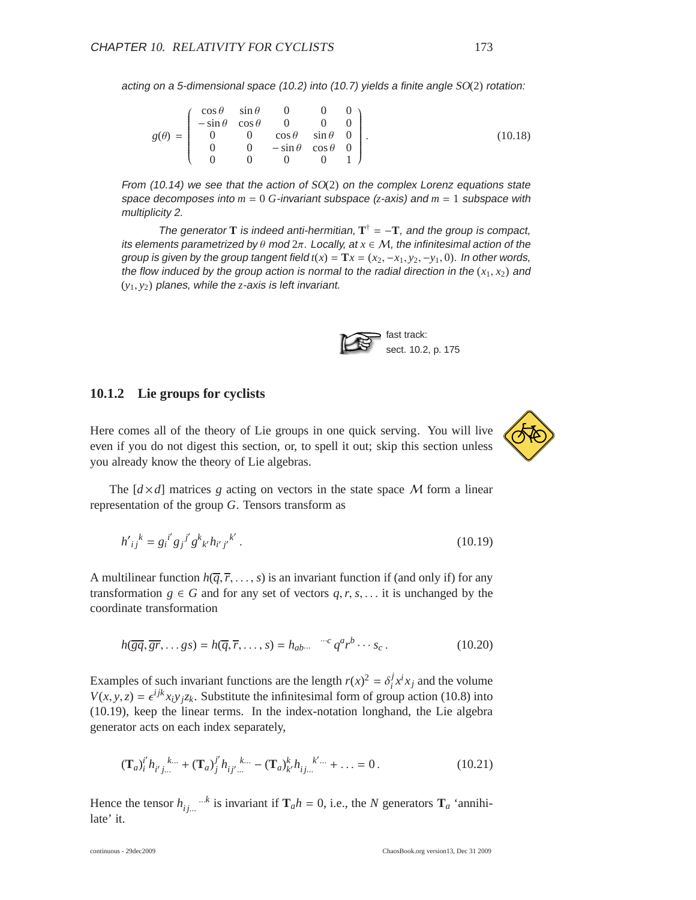acting on <sup>a</sup> 5-dimensional space (10.2) into (10.7) yields <sup>a</sup> finite angle SO(2) rotation:

$$
g(\theta) = \begin{pmatrix} \cos \theta & \sin \theta & 0 & 0 & 0 \\ -\sin \theta & \cos \theta & 0 & 0 & 0 \\ 0 & 0 & \cos \theta & \sin \theta & 0 \\ 0 & 0 & -\sin \theta & \cos \theta & 0 \\ 0 & 0 & 0 & 0 & 1 \end{pmatrix}.
$$
 (10.18)

From  $(10.14)$  we see that the action of  $SO(2)$  on the complex Lorenz equations state space decomposes into  $m = 0$  G-invariant subspace  $(z$ -axis) and  $m = 1$  subspace with multiplicity 2.

The generator **T** is indeed anti-hermitian,  $T^{\dagger} = -T$ , and the group is compact, its elements parametrized by  $\theta$  mod  $2\pi$ . Locally, at  $x \in \mathcal{M}$ , the infinitesimal action of the group is given by the group tangent field  $t(x) = Tx = (x_2, -x_1, y_2, -y_1, 0)$ . In other words, the flow induced by the group action is normal to the radial direction in the  $(x_1, x_2)$  and (*y*1, *y*2) planes, while the *z*-axis is left invariant.



#### **10.1.2 Lie groups for cyclists**

Here comes all of the theory of Lie groups in one quick serving. You will live even if you do not digest this section, or, to spell it out; skip this section unless you already know the theory of Lie algebras.



The  $\left[ d \times d \right]$  matrices *g* acting on vectors in the state space M form a linear representation of the group *G*. Tensors transform as

$$
h'_{ij}{}^{k} = g_{i}{}^{i'} g_{j}{}^{j} g^{k}{}_{k'} h_{i'j'}{}^{k'}.
$$
\n(10.19)

A multilinear function  $h(\overline{q}, \overline{r}, \ldots, s)$  is an invariant function if (and only if) for any transformation  $g \in G$  and for any set of vectors  $q, r, s, \ldots$  it is unchanged by the coordinate transformation

$$
h(\overline{gq}, \overline{gr}, \dots g s) = h(\overline{q}, \overline{r}, \dots, s) = h_{ab\cdots} \stackrel{\cdots c}{\cdots} q^a r^b \cdots s_c.
$$
 (10.20)

Examples of such invariant functions are the length  $r(x)^2 = \delta_i^j$  $i^{j}$  *x*<sup>*i*</sup> *x*<sub>*j*</sub> and the volume  $V(x, y, z) = \epsilon^{ijk} x_i y_j z_k$ . Substitute the infinitesimal form of group action (10.8) into (10.19), keep the linear terms. In the index-notation longhand, the Lie algebra generator acts on each index separately,

$$
(\mathbf{T}_a)^{i'}_{i} h_{i'j...}^{k...} + (\mathbf{T}_a)^{j'}_{j} h_{i'j'...}^{k...} - (\mathbf{T}_a)^{k'}_{k'} h_{i'j...}^{k''...} + \dots = 0.
$$
 (10.21)

Hence the tensor  $h_{ij...}$ <sup>6.</sup>*k* is invariant if  $\mathbf{T}_a h = 0$ , i.e., the *N* generators  $\mathbf{T}_a$  'annihilate' it.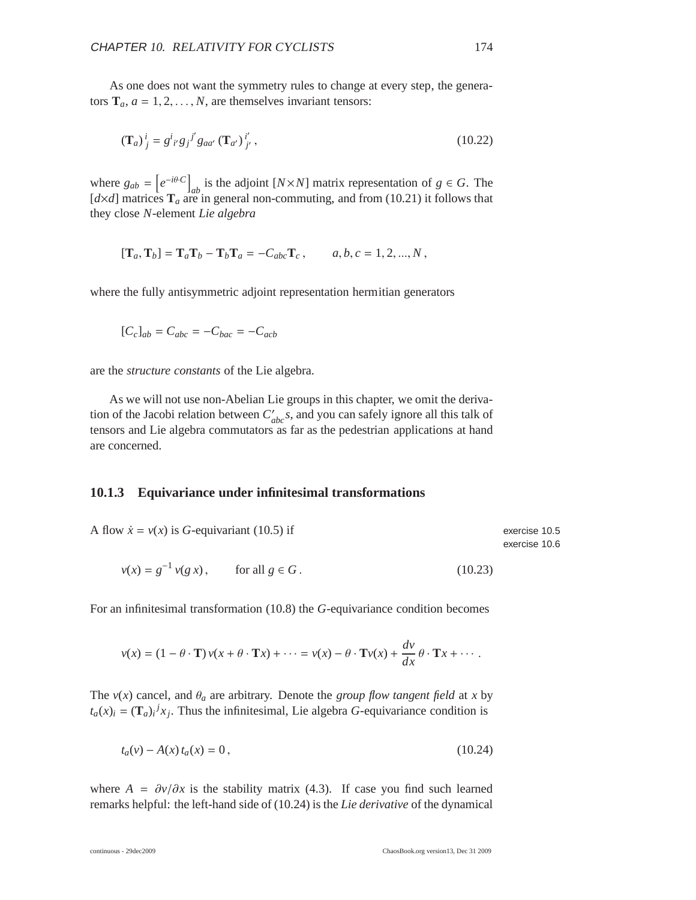As one does not want the symmetry rules to change at every step, the generators  $\mathbf{T}_a$ ,  $a = 1, 2, \dots, N$ , are themselves invariant tensors:

$$
(\mathbf{T}_a)^i_j = g^i_{i'} g_j^{j'} g_{aa'} (\mathbf{T}_{a'})^i_{j'}, \qquad (10.22)
$$

where  $g_{ab} = \left[ e^{-i\theta \cdot C} \right]_{ab}$  is the adjoint  $[N \times N]$  matrix representation of  $g \in G$ . The  $[d \times d]$  matrices  $\mathbf{T}_a$  are in general non-commuting, and from (10.21) it follows that they close *N*-element *Lie algebra*

$$
[\mathbf{T}_a, \mathbf{T}_b] = \mathbf{T}_a \mathbf{T}_b - \mathbf{T}_b \mathbf{T}_a = -C_{abc} \mathbf{T}_c, \qquad a, b, c = 1, 2, ..., N,
$$

where the fully antisymmetric adjoint representation hermitian generators

$$
[C_c]_{ab} = C_{abc} = -C_{bac} = -C_{acb}
$$

are the *structure constants* of the Lie algebra.

As we will not use non-Abelian Lie groups in this chapter, we omit the derivation of the Jacobi relation between  $C'_{abc}$ s, and you can safely ignore all this talk of tensors and Lie algebra commutators as far as the pedestrian applications at hand are concerned.

#### **10.1.3 Equivariance under infinitesimal transformations**

| A flow $\dot{x} = v(x)$ is G-equivariant (10.5) if | exercise 10.5 |
|----------------------------------------------------|---------------|
|                                                    | exercise 10.6 |

$$
v(x) = g^{-1} v(g \, x), \qquad \text{for all } g \in G. \tag{10.23}
$$

For an infinitesimal transformation (10.8) the *G*-equivariance condition becomes

$$
v(x) = (1 - \theta \cdot \mathbf{T}) v(x + \theta \cdot \mathbf{T}x) + \cdots = v(x) - \theta \cdot \mathbf{T}v(x) + \frac{dv}{dx} \theta \cdot \mathbf{T}x + \cdots
$$

The  $v(x)$  cancel, and  $\theta_a$  are arbitrary. Denote the *group flow tangent field* at *x* by  $t_a(x)$ <sup>*i*</sup> =  $(\mathbf{T}_a)$ <sup>*i*</sup> $x_j$ . Thus the infinitesimal, Lie algebra *G*-equivariance condition is

$$
t_a(v) - A(x) t_a(x) = 0, \t\t(10.24)
$$

where  $A = \frac{\partial v}{\partial x}$  is the stability matrix (4.3). If case you find such learned remarks helpful: the left-hand side of (10.24) is the *Lie derivative* of the dynamical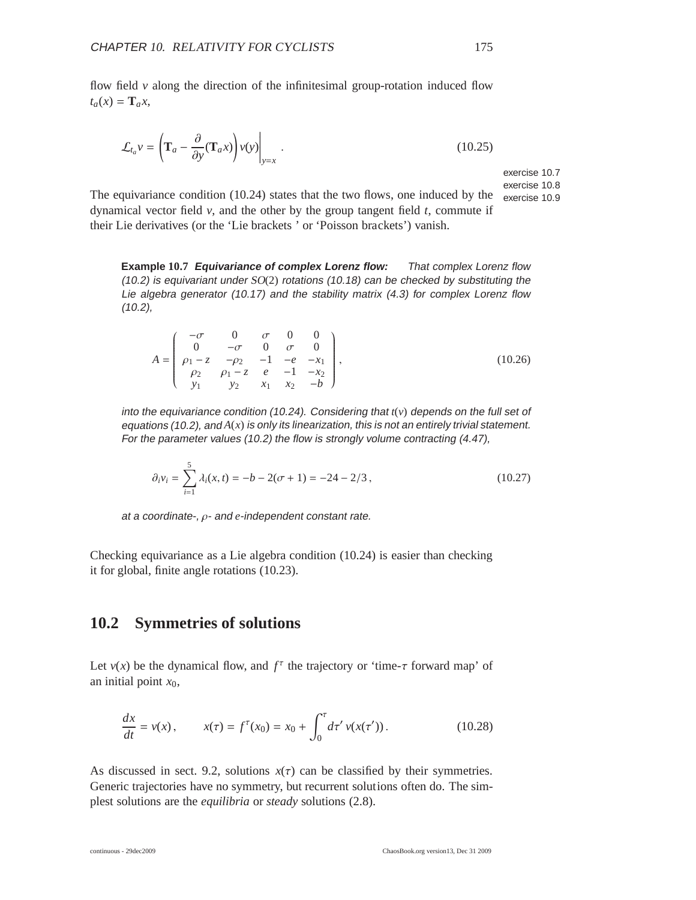flow field  $\nu$  along the direction of the infinitesimal group-rotation induced flow  $t_a(x) = \mathbf{T}_a x$ ,

$$
\mathcal{L}_{t_a} v = \left( \mathbf{T}_a - \frac{\partial}{\partial y} (\mathbf{T}_a x) \right) v(y) \Big|_{y=x} . \tag{10.25}
$$

exercise 10.7 exercise 10.8

The equivariance condition (10.24) states that the two flows, one induced by the  $_{\text{exercise 10.9}}$ dynamical vector field *v*, and the other by the group tangent field *t*, commute if their Lie derivatives (or the 'Lie brackets ' or 'Poisson brackets') vanish.

**Example 10.7 Equivariance of complex Lorenz flow:** That complex Lorenz flow (10.2) is equivariant under  $SO(2)$  rotations (10.18) can be checked by substituting the Lie algebra generator (10.17) and the stability matrix (4.3) for complex Lorenz flow (10.2),

$$
A = \begin{pmatrix} -\sigma & 0 & \sigma & 0 & 0 \\ 0 & -\sigma & 0 & \sigma & 0 \\ \rho_1 - z & -\rho_2 & -1 & -e & -x_1 \\ \rho_2 & \rho_1 - z & e & -1 & -x_2 \\ y_1 & y_2 & x_1 & x_2 & -b \end{pmatrix},
$$
(10.26)

into the equivariance condition (10.24). Considering that *t*(*v*) depends on the full set of equations (10.2), and *A*(*x*) is only its linearization, this is not an entirely trivial statement. For the parameter values (10.2) the flow is strongly volume contracting (4.47),

$$
\partial_i v_i = \sum_{i=1}^5 \lambda_i(x, t) = -b - 2(\sigma + 1) = -24 - 2/3,
$$
\n(10.27)

at <sup>a</sup> coordinate-, ρ- and *e*-independent constant rate.

Checking equivariance as a Lie algebra condition (10.24) is easier than checking it for global, finite angle rotations (10.23).

## **10.2 Symmetries of solutions**

Let  $v(x)$  be the dynamical flow, and  $f^{\tau}$  the trajectory or 'time- $\tau$  forward map' of an initial point  $x_0$ ,

$$
\frac{dx}{dt} = v(x), \qquad x(\tau) = f^{\tau}(x_0) = x_0 + \int_0^{\tau} d\tau' \, v(x(\tau')). \tag{10.28}
$$

As discussed in sect. 9.2, solutions  $x(\tau)$  can be classified by their symmetries. Generic trajectories have no symmetry, but recurrent solutions often do. The simplest solutions are the *equilibria* or *steady* solutions (2.8).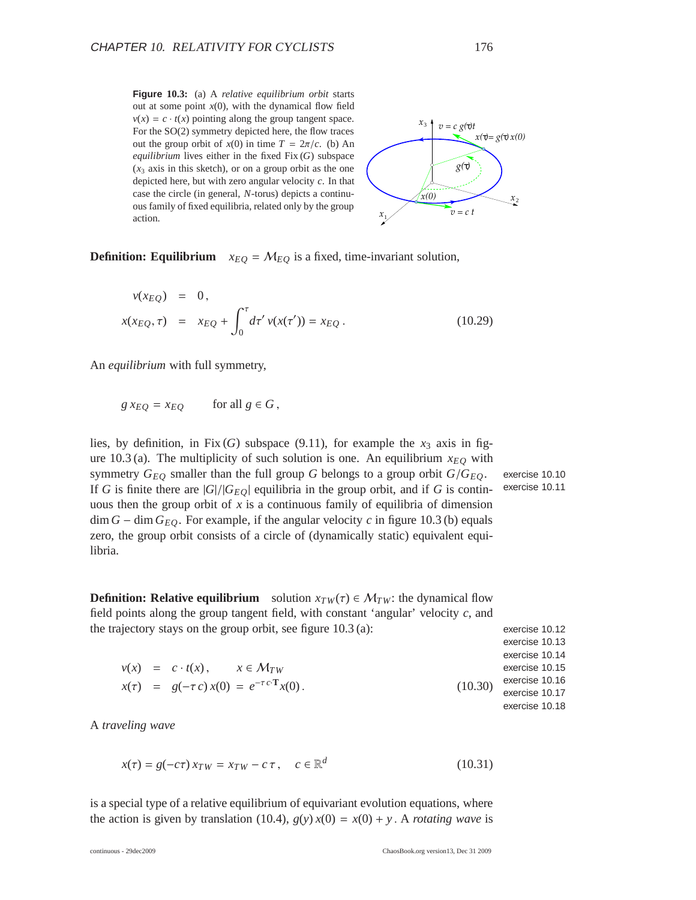**Figure 10.3:** (a) A *relative equilibrium orbit* starts out at some point  $x(0)$ , with the dynamical flow field  $v(x) = c \cdot t(x)$  pointing along the group tangent space. For the SO(2) symmetry depicted here, the flow traces out the group orbit of  $x(0)$  in time  $T = 2\pi/c$ . (b) An *equilibrium* lives either in the fixed Fix (*G*) subspace  $(x<sub>3</sub> axis in this sketch)$ , or on a group orbit as the one depicted here, but with zero angular velocity *c*. In that case the circle (in general, *N*-torus) depicts a continuous family of fixed equilibria, related only by the group action.  $x_1 + x_2 + x_3 = 0$ 



**Definition: Equilibrium**  $x_{EQ} = M_{EQ}$  is a fixed, time-invariant solution,

$$
v(x_{EQ}) = 0,
$$
  

$$
x(x_{EQ}, \tau) = x_{EQ} + \int_0^{\tau} d\tau' v(x(\tau')) = x_{EQ}.
$$
 (10.29)

An *equilibrium* with full symmetry,

$$
g\,x_{EQ} = x_{EQ} \qquad \text{for all } g \in G,
$$

 $v(x) = c \cdot t(x), \quad x \in M_{TW}$ *x*(τ) =  $g(-\tau c) x(0) = e^{-\tau c \cdot \mathbf{T}}$ 

lies, by definition, in Fix  $(G)$  subspace  $(9.11)$ , for example the  $x_3$  axis in figure 10.3 (a). The multiplicity of such solution is one. An equilibrium  $x_{EQ}$  with symmetry  $G_{EQ}$  smaller than the full group *G* belongs to a group orbit  $G/G_{EQ}$ . exercise 10.10 If *G* is finite there are  $|G|/|G_{EO}|$  equilibria in the group orbit, and if *G* is contin- exercise 10.11 uous then the group orbit of  $x$  is a continuous family of equilibria of dimension  $\dim G - \dim G_{EO}$ . For example, if the angular velocity *c* in figure 10.3 (b) equals zero, the group orbit consists of a circle of (dynamically static) equivalent equilibria.

**Definition: Relative equilibrium** solution  $x_{TW}(\tau) \in \mathcal{M}_{TW}$ : the dynamical flow field points along the group tangent field, with constant 'angular' velocity *c*, and the trajectory stays on the group orbit, see figure  $10.3$  (a): exercise 10.12

exercise 10.13 exercise 10.14 exercise 10.15 exercise 10.16 exercise 10.17 exercise 10.18  $(10.30)$ 

A *traveling wave*

$$
x(\tau) = g(-c\tau) x_{TW} = x_{TW} - c\tau, \quad c \in \mathbb{R}^d \tag{10.31}
$$

is a special type of a relative equilibrium of equivariant evolution equations, where the action is given by translation (10.4),  $g(y)x(0) = x(0) + y$ . A *rotating wave* is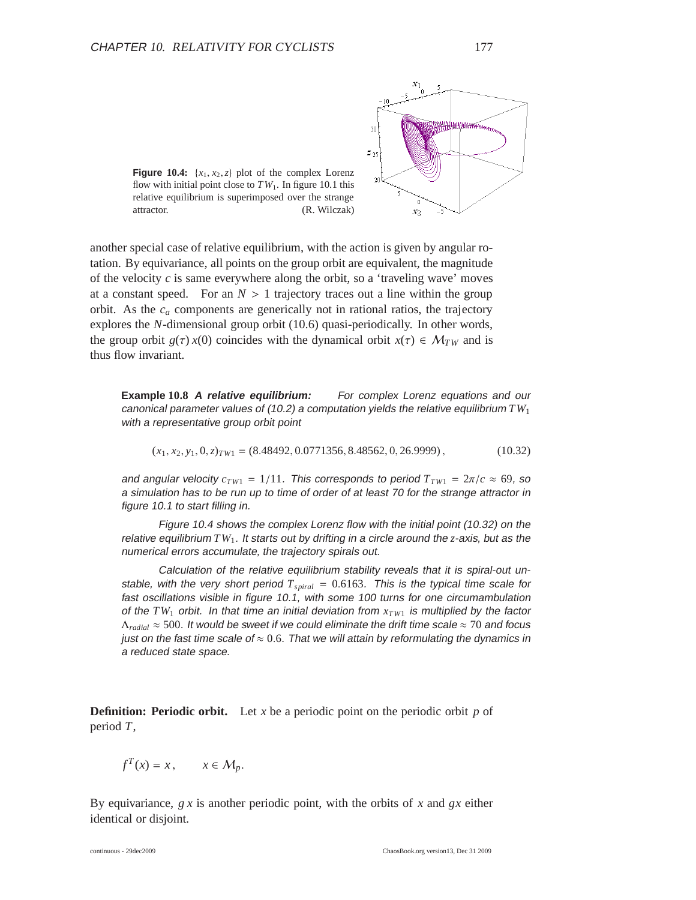



another special case of relative equilibrium, with the action is given by angular rotation. By equivariance, all points on the group orbit are equivalent, the magnitude of the velocity  $c$  is same everywhere along the orbit, so a 'traveling wave' moves at a constant speed. For an  $N > 1$  trajectory traces out a line within the group orbit. As the *c<sup>a</sup>* components are generically not in rational ratios, the trajectory explores the *N*-dimensional group orbit (10.6) quasi-periodically. In other words, the group orbit  $g(\tau) x(0)$  coincides with the dynamical orbit  $x(\tau) \in M_{TW}$  and is thus flow invariant.

**Example 10.8 <sup>A</sup> relative equilibrium:** For complex Lorenz equations and our canonical parameter values of (10.2) <sup>a</sup> computation yields the relative equilibrium *TW*<sup>1</sup> with <sup>a</sup> representative group orbit point

$$
(x_1, x_2, y_1, 0, z)_{TW1} = (8.48492, 0.0771356, 8.48562, 0, 26.9999), \tag{10.32}
$$

and angular velocity  $c_{TW1} = 1/11$ . This corresponds to period  $T_{TW1} = 2\pi/c \approx 69$ , so <sup>a</sup> simulation has to be run up to time of order of at least <sup>70</sup> for the strange attractor in figure 10.1 to start filling in.

Figure 10.4 shows the complex Lorenz flow with the initial point (10.32) on the relative equilibrium *TW*<sup>1</sup>. It starts out by drifting in <sup>a</sup> circle around the *z*-axis, but as the numerical errors accumulate, the trajectory spirals out.

Calculation of the relative equilibrium stability reveals that it is spiral-out unstable, with the very short period  $T_{\text{spiral}} = 0.6163$ . This is the typical time scale for fast oscillations visible in figure 10.1, with some <sup>100</sup> turns for one circumambulation of the  $TW_1$  orbit. In that time an initial deviation from  $x_{TW_1}$  is multiplied by the factor <sup>Λ</sup>*radial* <sup>≈</sup> <sup>500</sup>. It would be sweet if we could eliminate the drift time scale <sup>≈</sup> <sup>70</sup> and focus just on the fast time scale of  $\approx 0.6$ . That we will attain by reformulating the dynamics in <sup>a</sup> reduced state space.

**Definition: Periodic orbit.** Let *x* be a periodic point on the periodic orbit  $p$  of period *T*,

$$
f^T(x) = x, \qquad x \in \mathcal{M}_p.
$$

By equivariance, *g x* is another periodic point, with the orbits of *x* and *gx* either identical or disjoint.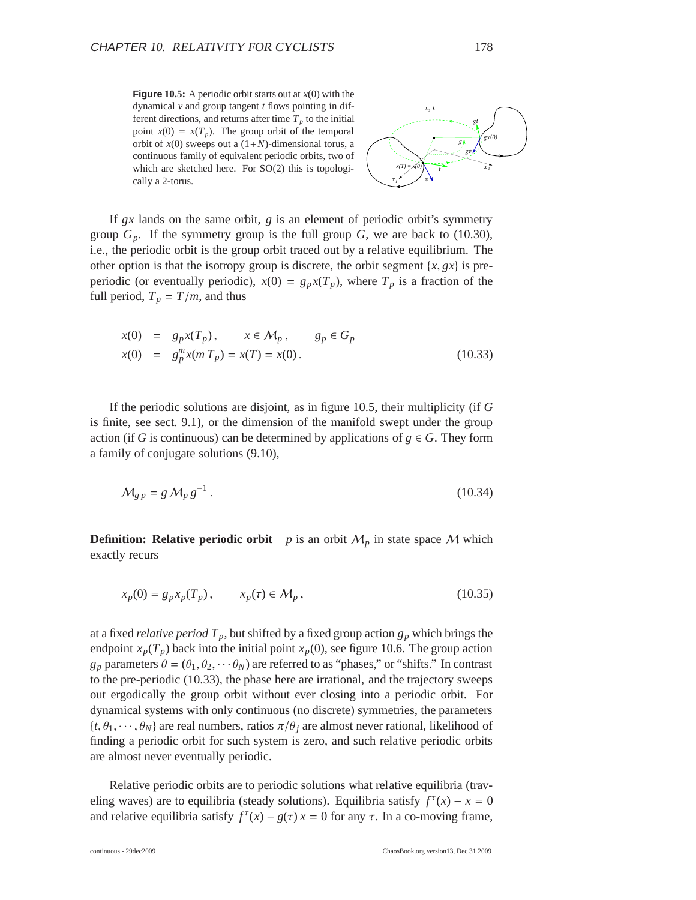**Figure 10.5:** A periodic orbit starts out at  $x(0)$  with the dynamical *v* and group tangent *t* flows pointing in different directions, and returns after time  $T_p$  to the initial point  $x(0) = x(T_p)$ . The group orbit of the temporal orbit of  $x(0)$  sweeps out a  $(1+N)$ -dimensional torus, a continuous family of equivalent periodic orbits, two of which are sketched here. For SO(2) this is topologically a 2-torus.



If *gx* lands on the same orbit, *g* is an element of periodic orbit's symmetry group  $G_p$ . If the symmetry group is the full group  $G$ , we are back to (10.30), i.e., the periodic orbit is the group orbit traced out by a relative equilibrium. The other option is that the isotropy group is discrete, the orbit segment  $\{x, gx\}$  is preperiodic (or eventually periodic),  $x(0) = g_p x(T_p)$ , where  $T_p$  is a fraction of the full period,  $T_p = T/m$ , and thus

$$
x(0) = g_p x(T_p), \t x \in M_p, \t g_p \in G_p
$$
  

$$
x(0) = g_p^m x(m T_p) = x(T) = x(0).
$$
 (10.33)

If the periodic solutions are disjoint, as in figure 10.5, their multiplicity (if *G* is finite, see sect. 9.1), or the dimension of the manifold swept under the group action (if *G* is continuous) can be determined by applications of  $g \in G$ . They form a family of conjugate solutions (9.10),

$$
\mathcal{M}_{g p} = g \mathcal{M}_p g^{-1} \,. \tag{10.34}
$$

**Definition: Relative periodic orbit** *p* is an orbit  $M_p$  in state space M which exactly recurs

$$
x_p(0) = g_p x_p(T_p), \qquad x_p(\tau) \in \mathcal{M}_p, \qquad (10.35)
$$

at a fixed *relative period*  $T_p$ , but shifted by a fixed group action  $g_p$  which brings the endpoint  $x_p(T_p)$  back into the initial point  $x_p(0)$ , see figure 10.6. The group action  $g_p$  parameters  $\theta = (\theta_1, \theta_2, \dots, \theta_N)$  are referred to as "phases," or "shifts." In contrast to the pre-periodic (10.33), the phase here are irrational, and the trajectory sweeps out ergodically the group orbit without ever closing into a periodic orbit. For dynamical systems with only continuous (no discrete) symmetries, the parameters  $\{t, \theta_1, \dots, \theta_N\}$  are real numbers, ratios  $\pi/\theta_i$  are almost never rational, likelihood of finding a periodic orbit for such system is zero, and such relative periodic orbits are almost never eventually periodic.

Relative periodic orbits are to periodic solutions what relative equilibria (traveling waves) are to equilibria (steady solutions). Equilibria satisfy  $f^{\tau}(x) - x = 0$ and relative equilibria satisfy  $f^{\tau}(x) - g(\tau)x = 0$  for any  $\tau$ . In a co-moving frame,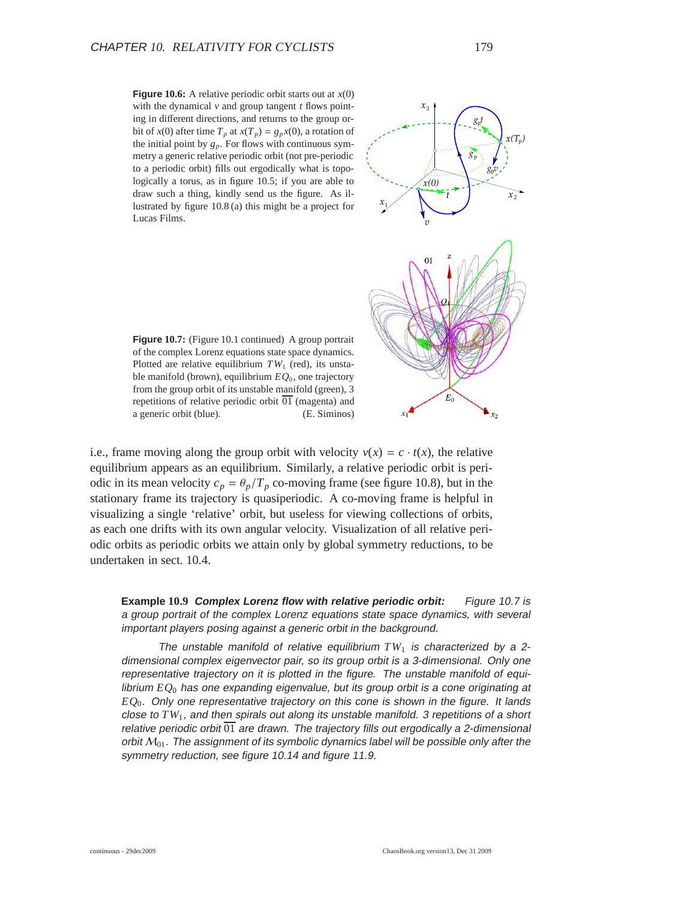**Figure 10.6:** A relative periodic orbit starts out at  $x(0)$ with the dynamical *v* and group tangent *t* flows pointing in different directions, and returns to the group orbit of *x*(0) after time  $T_p$  at  $x(T_p) = g_p x(0)$ , a rotation of the initial point by  $g_p$ . For flows with continuous symmetry a generic relative periodic orbit (not pre-periodic to a periodic orbit) fills out ergodically what is topologically a torus, as in figure 10.5; if you are able to draw such a thing, kindly send us the figure. As illustrated by figure 10.8 (a) this might be a project for Lucas Films.



**Figure 10.7:** (Figure 10.1 continued) A group portrait of the complex Lorenz equations state space dynamics. Plotted are relative equilibrium  $TW_1$  (red), its unstable manifold (brown), equilibrium *EQ*0, one trajectory from the group orbit of its unstable manifold (green), 3 repetitions of relative periodic orbit  $\overline{01}$  (magenta) and a generic orbit (blue). (E. Siminos)

i.e., frame moving along the group orbit with velocity  $v(x) = c \cdot t(x)$ , the relative equilibrium appears as an equilibrium. Similarly, a relative periodic orbit is periodic in its mean velocity  $c_p = \theta_p/T_p$  co-moving frame (see figure 10.8), but in the stationary frame its trajectory is quasiperiodic. A co-moving frame is helpful in visualizing a single 'relative' orbit, but useless for viewing collections of orbits, as each one drifts with its own angular velocity. Visualization of all relative periodic orbits as periodic orbits we attain only by global symmetry reductions, to be undertaken in sect. 10.4.

**Example 10.9 Complex Lorenz flow with relative periodic orbit:** Figure 10.7 is <sup>a</sup> group portrait of the complex Lorenz equations state space dynamics, with several important players posing against <sup>a</sup> generic orbit in the background.

The unstable manifold of relative equilibrium  $TW_1$  is characterized by a 2dimensional complex eigenvector pair, so its group orbit is <sup>a</sup> 3-dimensional. Only one representative trajectory on it is plotted in the figure. The unstable manifold of equilibrium *EQ*<sup>0</sup> has one expanding eigenvalue, but its group orbit is <sup>a</sup> cone originating at *EQ*0. Only one representative trajectory on this cone is shown in the figure. It lands close to *TW*<sup>1</sup>, and then spirals out along its unstable manifold. <sup>3</sup> repetitions of <sup>a</sup> short relative periodic orbit  $\overline{01}$  are drawn. The trajectory fills out ergodically a 2-dimensional orbit  $M_{01}$ . The assignment of its symbolic dynamics label will be possible only after the symmetry reduction, see figure 10.14 and figure 11.9.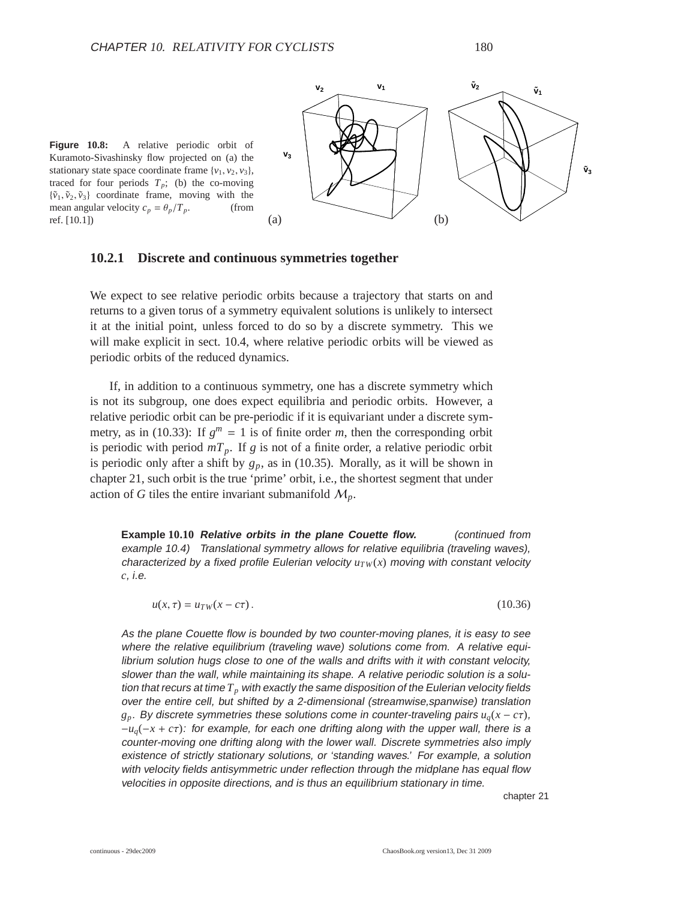



#### **10.2.1 Discrete and continuous symmetries together**

We expect to see relative periodic orbits because a trajectory that starts on and returns to a given torus of a symmetry equivalent solutions is unlikely to intersect it at the initial point, unless forced to do so by a discrete symmetry. This we will make explicit in sect. 10.4, where relative periodic orbits will be viewed as periodic orbits of the reduced dynamics.

If, in addition to a continuous symmetry, one has a discrete symmetry which is not its subgroup, one does expect equilibria and periodic orbits. However, a relative periodic orbit can be pre-periodic if it is equivariant under a discrete symmetry, as in (10.33): If  $g^m = 1$  is of finite order *m*, then the corresponding orbit is periodic with period  $mT_p$ . If *g* is not of a finite order, a relative periodic orbit is periodic only after a shift by  $g_p$ , as in (10.35). Morally, as it will be shown in chapter 21, such orbit is the true 'prime' orbit, i.e., the shortest segment that under action of *G* tiles the entire invariant submanifold  $M_p$ .

**Example 10.10 Relative orbits in the plane Couette flow.** (continued from example 10.4) Translational symmetry allows for relative equilibria (traveling waves), characterized by a fixed profile Eulerian velocity  $u_{TW}(x)$  moving with constant velocity *c*, i.e.

 $u(x, \tau) = u_{TW}(x - c\tau)$ . (10.36)

As the plane Couette flow is bounded by two counter-moving planes, it is easy to see where the relative equilibrium (traveling wave) solutions come from. A relative equilibrium solution hugs close to one of the walls and drifts with it with constant velocity, slower than the wall, while maintaining its shape. <sup>A</sup> relative periodic solution is a solution that recurs at time *T<sup>p</sup>* with exactly the same disposition of the Eulerian velocity fields over the entire cell, but shifted by <sup>a</sup> 2-dimensional (streamwise,spanwise) translation  $g_p$ . By discrete symmetries these solutions come in counter-traveling pairs  $u_q(x - c\tau)$ , <sup>−</sup>*uq*(−*<sup>x</sup>* <sup>+</sup> *<sup>c</sup>*τ): for example, for each one drifting along with the upper wall, there is <sup>a</sup> counter-moving one drifting along with the lower wall. Discrete symmetries also imply existence of strictly stationary solutions, or 'standing waves.' For example, <sup>a</sup> solution with velocity fields antisymmetric under reflection through the midplane has equal flow velocities in opposite directions, and is thus an equilibrium stationary in time.

chapter 21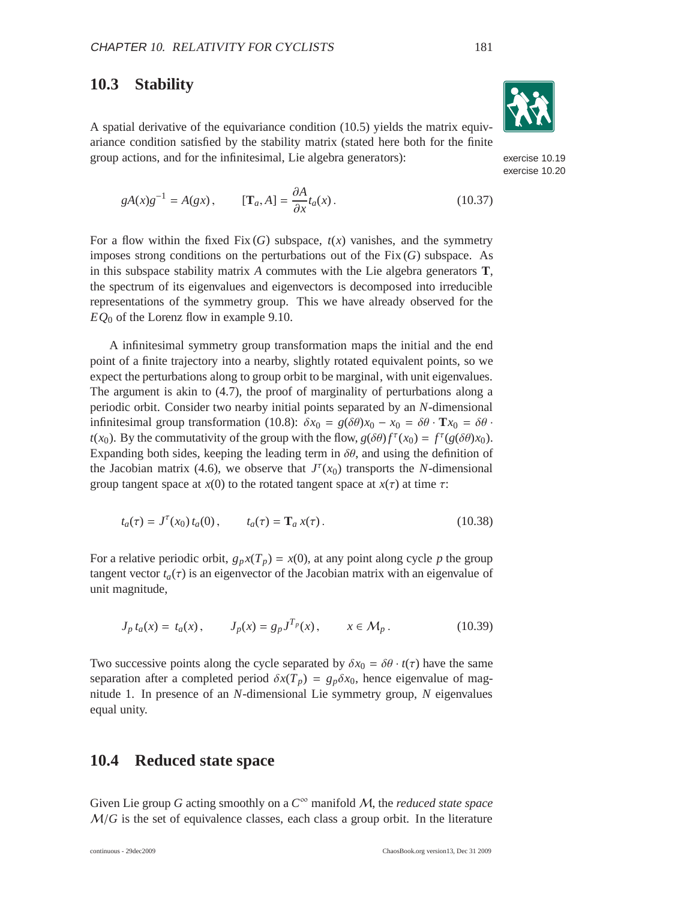## **10.3 Stability**

A spatial derivative of the equivariance condition (10.5) yields the matrix equivariance condition satisfied by the stability matrix (stated here both for the finite group actions, and for the infinitesimal, Lie algebra generators): exercise 10.19

$$
gA(x)g^{-1} = A(gx), \qquad [\mathbf{T}_a, A] = \frac{\partial A}{\partial x} t_a(x). \tag{10.37}
$$

For a flow within the fixed Fix  $(G)$  subspace,  $t(x)$  vanishes, and the symmetry imposes strong conditions on the perturbations out of the Fix (*G*) subspace. As in this subspace stability matrix *A* commutes with the Lie algebra generators **T**, the spectrum of its eigenvalues and eigenvectors is decomposed into irreducible representations of the symmetry group. This we have already observed for the *EQ*<sup>0</sup> of the Lorenz flow in example 9.10.

A infinitesimal symmetry group transformation maps the initial and the end point of a finite trajectory into a nearby, slightly rotated equivalent points, so we expect the perturbations along to group orbit to be marginal, with unit eigenvalues. The argument is akin to (4.7), the proof of marginality of perturbations along a periodic orbit. Consider two nearby initial points separated by an *N*-dimensional infinitesimal group transformation (10.8):  $\delta x_0 = g(\delta \theta) x_0 - x_0 = \delta \theta \cdot \mathbf{T} x_0 = \delta \theta \cdot$ *t*(*x*<sub>0</sub>). By the commutativity of the group with the flow,  $g(\delta\theta) f^{\tau}(x_0) = f^{\tau}(g(\delta\theta)x_0)$ . Expanding both sides, keeping the leading term in  $\delta\theta$ , and using the definition of the Jacobian matrix (4.6), we observe that  $J^{\tau}(x_0)$  transports the *N*-dimensional group tangent space at  $x(0)$  to the rotated tangent space at  $x(\tau)$  at time  $\tau$ :

$$
t_a(\tau) = J^{\tau}(x_0) t_a(0), \qquad t_a(\tau) = \mathbf{T}_a x(\tau). \tag{10.38}
$$

For a relative periodic orbit,  $g_p x(T_p) = x(0)$ , at any point along cycle *p* the group tangent vector  $t_a(\tau)$  is an eigenvector of the Jacobian matrix with an eigenvalue of unit magnitude,

$$
J_p t_a(x) = t_a(x), \t J_p(x) = g_p J^{T_p}(x), \t x \in M_p.
$$
 (10.39)

Two successive points along the cycle separated by  $\delta x_0 = \delta \theta \cdot t(\tau)$  have the same separation after a completed period  $\delta x(T_p) = g_p \delta x_0$ , hence eigenvalue of magnitude 1. In presence of an *N*-dimensional Lie symmetry group, *N* eigenvalues equal unity.

## **10.4 Reduced state space**

Given Lie group *G* acting smoothly on a *C* <sup>∞</sup> manifold M, the *reduced state space* M/*G* is the set of equivalence classes, each class a group orbit. In the literature



exercise 10.20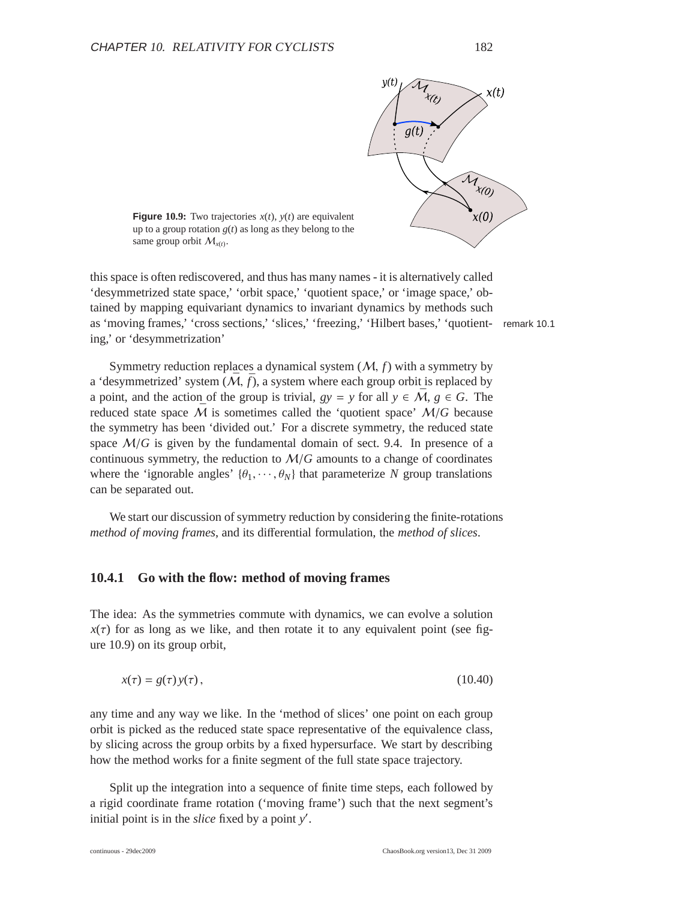

**Figure** 10.9: Two trajectories  $x(t)$ ,  $y(t)$  are equivalent up to a group rotation  $g(t)$  as long as they belong to the same group orbit  $M_{x(t)}$ .

this space is often rediscovered, and thus has many names - it is alternatively called 'desymmetrized state space,' 'orbit space,' 'quotient space,' or 'image space,' obtained by mapping equivariant dynamics to invariant dynamics by methods such as 'moving frames,' 'cross sections,' 'slices,' 'freezing,' 'Hilbert bases,' 'quotient- remark 10.1 ing,' or 'desymmetrization'

Symmetry reduction replaces a dynamical system (M, *f*) with a symmetry by a 'desymmetrized' system  $(\bar{M}, \bar{f})$ , a system where each group orbit is replaced by a point, and the action of the group is trivial,  $gy = y$  for all  $y \in \overline{M}$ ,  $g \in G$ . The reduced state space  $\overline{M}$  is sometimes called the 'quotient space'  $M/G$  because the symmetry has been 'divided out.' For a discrete symmetry, the reduced state space  $M/G$  is given by the fundamental domain of sect. 9.4. In presence of a continuous symmetry, the reduction to  $M/G$  amounts to a change of coordinates where the 'ignorable angles'  $\{\theta_1, \dots, \theta_N\}$  that parameterize N group translations can be separated out.

We start our discussion of symmetry reduction by considering the finite-rotations *method of moving frames*, and its differential formulation, the *method of slices*.

#### **10.4.1 Go with the flow: method of moving frames**

The idea: As the symmetries commute with dynamics, we can evolve a solution  $x(\tau)$  for as long as we like, and then rotate it to any equivalent point (see figure 10.9) on its group orbit,

$$
x(\tau) = g(\tau) y(\tau), \tag{10.40}
$$

any time and any way we like. In the 'method of slices' one point on each group orbit is picked as the reduced state space representative of the equivalence class, by slicing across the group orbits by a fixed hypersurface. We start by describing how the method works for a finite segment of the full state space trajectory.

Split up the integration into a sequence of finite time steps, each followed by a rigid coordinate frame rotation ('moving frame') such that the next segment's initial point is in the *slice* fixed by a point *y* ′ .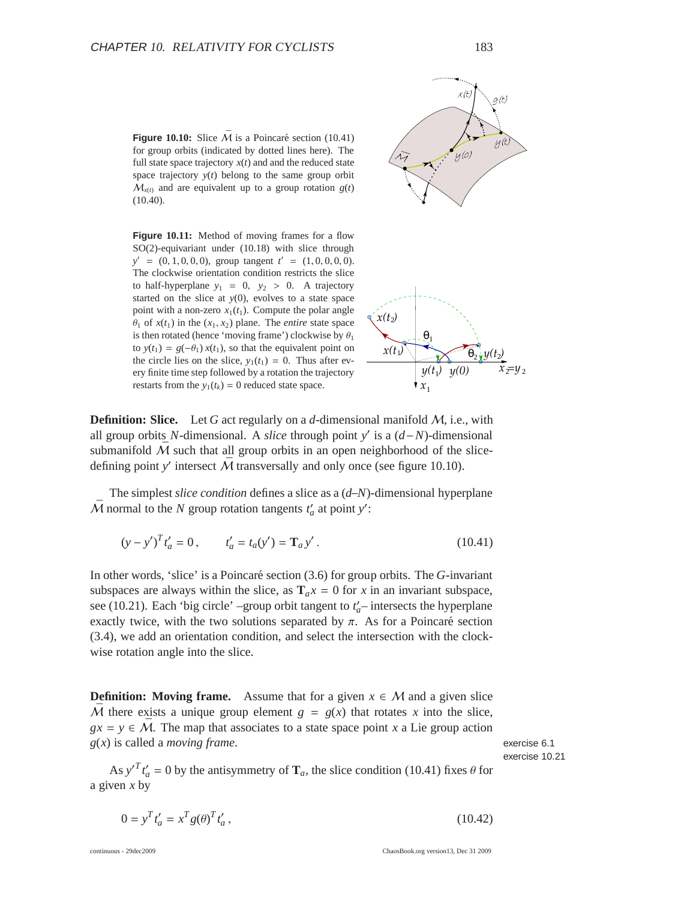**Figure 10.10:** Slice  $\overline{M}$  is a Poincaré section (10.41) for group orbits (indicated by dotted lines here). The full state space trajectory  $x(t)$  and and the reduced state space trajectory  $y(t)$  belong to the same group orbit  $M_{x(t)}$  and are equivalent up to a group rotation  $g(t)$ (10.40).

**Figure 10.11:** Method of moving frames for a flow SO(2)-equivariant under (10.18) with slice through  $y' = (0, 1, 0, 0, 0)$ , group tangent  $t' = (1, 0, 0, 0, 0)$ . The clockwise orientation condition restricts the slice to half-hyperplane  $y_1 = 0$ ,  $y_2 > 0$ . A trajectory started on the slice at *y*(0), evolves to a state space point with a non-zero  $x_1(t_1)$ . Compute the polar angle  $\theta_1$  of  $x(t_1)$  in the  $(x_1, x_2)$  plane. The *entire* state space is then rotated (hence 'moving frame') clockwise by  $\theta_1$ to  $y(t_1) = g(-\theta_1) x(t_1)$ , so that the equivalent point on the circle lies on the slice,  $y_1(t_1) = 0$ . Thus after every finite time step followed by a rotation the trajectory restarts from the  $y_1(t_k) = 0$  reduced state space.



**Definition: Slice.** Let G act regularly on a d-dimensional manifold M, i.e., with all group orbits *N*-dimensional. A *slice* through point *y*' is a  $(d-N)$ -dimensional submanifold  $\overline{M}$  such that all group orbits in an open neighborhood of the slicedefining point *y'* intersect  $\bar{M}$  transversally and only once (see figure 10.10).

The simplest *slice condition* defines a slice as a (*d*−*N*)-dimensional hyperplane  $\overline{M}$  normal to the *N* group rotation tangents  $t'_a$  at point  $y'$ :

$$
(y - y')^{T} t'_{a} = 0, \t t'_{a} = t_{a}(y') = T_{a} y'.
$$
\t(10.41)

In other words, 'slice' is a Poincaré section (3.6) for group orbits. The *G*-invariant subspaces are always within the slice, as  $T_a x = 0$  for *x* in an invariant subspace, see (10.21). Each 'big circle' –group orbit tangent to  $t'_{a}$ – intersects the hyperplane exactly twice, with the two solutions separated by  $\pi$ . As for a Poincaré section (3.4), we add an orientation condition, and select the intersection with the clockwise rotation angle into the slice.

**Definition:** Moving frame. Assume that for a given  $x \in M$  and a given slice  $\overline{M}$  there exists a unique group element  $g = g(x)$  that rotates *x* into the slice,  $gx = y \in \overline{M}$ . The map that associates to a state space point *x* a Lie group action *g*(*x*) is called a *moving frame*. exercise 6.1

As  $y'^T t'_a = 0$  by the antisymmetry of  $\mathbf{T}_a$ , the slice condition (10.41) fixes  $\theta$  for a given *x* by

$$
0 = y^T t'_a = x^T g(\theta)^T t'_a, \qquad (10.42)
$$

exercise 10.21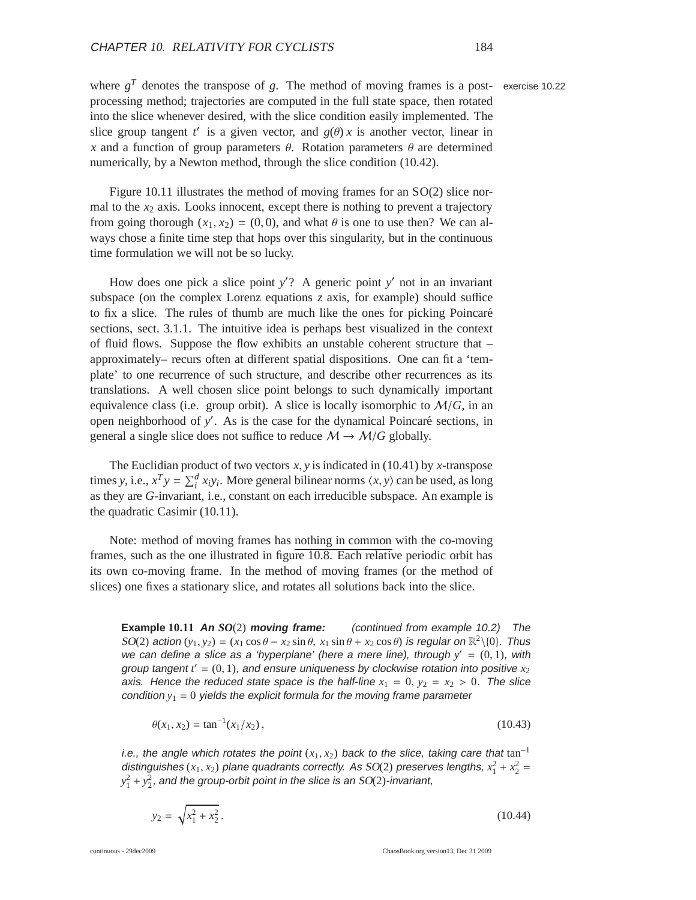where  $g<sup>T</sup>$  denotes the transpose of  $g$ . The method of moving frames is a post- exercise 10.22 processing method; trajectories are computed in the full state space, then rotated into the slice whenever desired, with the slice condition easily implemented. The slice group tangent *t'* is a given vector, and  $g(\theta)$  *x* is another vector, linear in *x* and a function of group parameters  $\theta$ . Rotation parameters  $\theta$  are determined numerically, by a Newton method, through the slice condition (10.42).

Figure 10.11 illustrates the method of moving frames for an SO(2) slice normal to the  $x_2$  axis. Looks innocent, except there is nothing to prevent a trajectory from going thorough  $(x_1, x_2) = (0, 0)$ , and what  $\theta$  is one to use then? We can always chose a finite time step that hops over this singularity, but in the continuous time formulation we will not be so lucky.

How does one pick a slice point *y*'? A generic point *y*' not in an invariant subspace (on the complex Lorenz equations *z* axis, for example) should suffice to fix a slice. The rules of thumb are much like the ones for picking Poincaré sections, sect. 3.1.1. The intuitive idea is perhaps best visualized in the context of fluid flows. Suppose the flow exhibits an unstable coherent structure that – approximately– recurs often at different spatial dispositions. One can fit a 'template' to one recurrence of such structure, and describe other recurrences as its translations. A well chosen slice point belongs to such dynamically important equivalence class (i.e. group orbit). A slice is locally isomorphic to  $M/G$ , in an open neighborhood of y'. As is the case for the dynamical Poincaré sections, in general a single slice does not suffice to reduce  $M \rightarrow M/G$  globally.

The Euclidian product of two vectors *x*, *y* is indicated in (10.41) by *x*-transpose times *y*, i.e.,  $x^T y = \sum_i^d x_i y_i$ . More general bilinear norms  $\langle x, y \rangle$  can be used, as long as they are *G*-invariant, i.e., constant on each irreducible subspace. An example is the quadratic Casimir (10.11).

Note: method of moving frames has nothing in common with the co-moving frames, such as the one illustrated in figure 10.8. Each relative periodic orbit has its own co-moving frame. In the method of moving frames (or the method of slices) one fixes a stationary slice, and rotates all solutions back into the slice.

**Example 10.11 An** *SO*(2) **moving frame:** (continued from example 10.2) The  $SO(2)$  action  $(y_1, y_2) = (x_1 \cos \theta - x_2 \sin \theta, x_1 \sin \theta + x_2 \cos \theta)$  is regular on  $\mathbb{R}^2 \setminus \{0\}$ . Thus we can define a slice as a 'hyperplane' (here a mere line), through  $y' = (0, 1)$ , with group tangent  $t' = (0, 1)$ , and ensure uniqueness by clockwise rotation into positive  $x_2$ axis. Hence the reduced state space is the half-line  $x_1 = 0$ ,  $y_2 = x_2 > 0$ . The slice condition  $y_1 = 0$  yields the explicit formula for the moving frame parameter

$$
\theta(x_1, x_2) = \tan^{-1}(x_1/x_2),\tag{10.43}
$$

i.e., the angle which rotates the point  $(x_1, x_2)$  back to the slice, taking care that tan<sup>-1</sup> distinguishes  $(x_1, x_2)$  plane quadrants correctly. As  $SO(2)$  preserves lengths,  $x_1^2 + x_2^2 =$  $y_1^2 + y_2^2$ , and the group-orbit point in the slice is an SO(2)-invariant,

 $y_2 = \sqrt{x_1^2 + x_2^2}$ .  $(10.44)$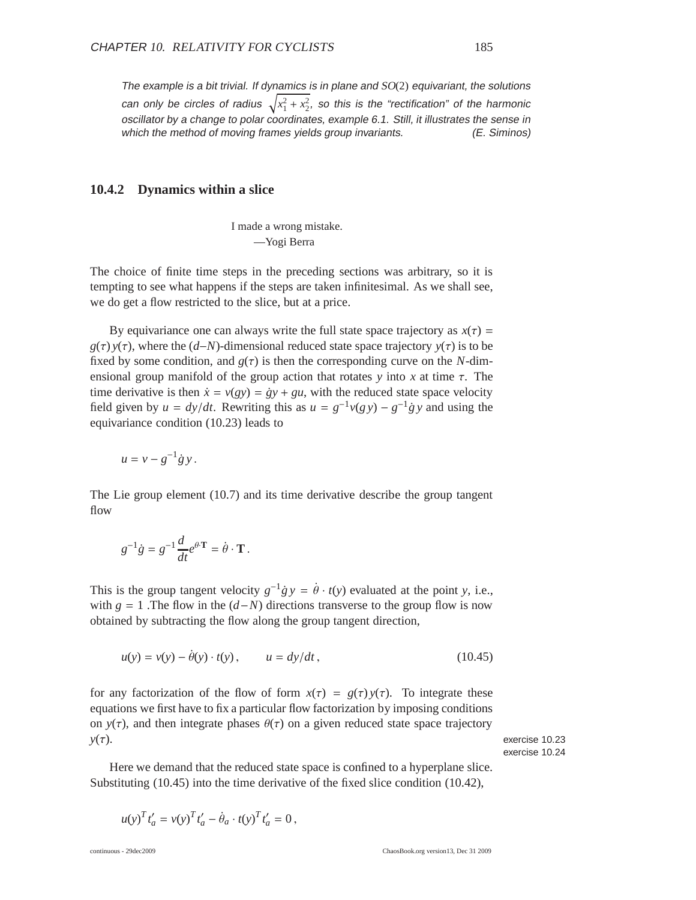The example is a bit trivial. If dynamics is in plane and  $SO(2)$  equivariant, the solutions can only be circles of radius  $\sqrt{x_1^2+x_2^2}$ , so this is the "rectification" of the harmonic oscillator by <sup>a</sup> change to polar coordinates, example 6.1. Still, it illustrates the sense in which the method of moving frames yields group invariants. (E. Siminos)

#### **10.4.2 Dynamics within a slice**

I made a wrong mistake. —Yogi Berra

The choice of finite time steps in the preceding sections was arbitrary, so it is tempting to see what happens if the steps are taken infinitesimal. As we shall see, we do get a flow restricted to the slice, but at a price.

By equivariance one can always write the full state space trajectory as  $x(\tau)$  =  $g(\tau)$  *y*( $\tau$ ), where the (*d*−*N*)-dimensional reduced state space trajectory *y*( $\tau$ ) is to be fixed by some condition, and  $g(\tau)$  is then the corresponding curve on the *N*-dimensional group manifold of the group action that rotates *y* into *x* at time τ. The time derivative is then  $\dot{x} = v(gy) = \dot{g}y + gu$ , with the reduced state space velocity field given by  $u = dy/dt$ . Rewriting this as  $u = g^{-1}v(gy) - g^{-1}gy$  and using the equivariance condition (10.23) leads to

$$
u=v-g^{-1}\dot{g}y.
$$

The Lie group element (10.7) and its time derivative describe the group tangent flow

$$
g^{-1}\dot{g} = g^{-1}\frac{d}{dt}e^{\theta \cdot \mathbf{T}} = \dot{\theta} \cdot \mathbf{T}.
$$

This is the group tangent velocity  $g^{-1}g y = \dot{\theta} \cdot t(y)$  evaluated at the point *y*, i.e., with  $g = 1$ . The flow in the  $(d-N)$  directions transverse to the group flow is now obtained by subtracting the flow along the group tangent direction,

$$
u(y) = v(y) - \dot{\theta}(y) \cdot t(y), \qquad u = dy/dt, \tag{10.45}
$$

for any factorization of the flow of form  $x(\tau) = g(\tau) y(\tau)$ . To integrate these equations we first have to fix a particular flow factorization by imposing conditions on  $y(\tau)$ , and then integrate phases  $\theta(\tau)$  on a given reduced state space trajectory  $y(\tau)$ . exercise 10.23

exercise 10.24

Here we demand that the reduced state space is confined to a hyperplane slice. Substituting (10.45) into the time derivative of the fixed slice condition (10.42),

$$
u(y)^T t'_a = v(y)^T t'_a - \dot{\theta}_a \cdot t(y)^T t'_a = 0,
$$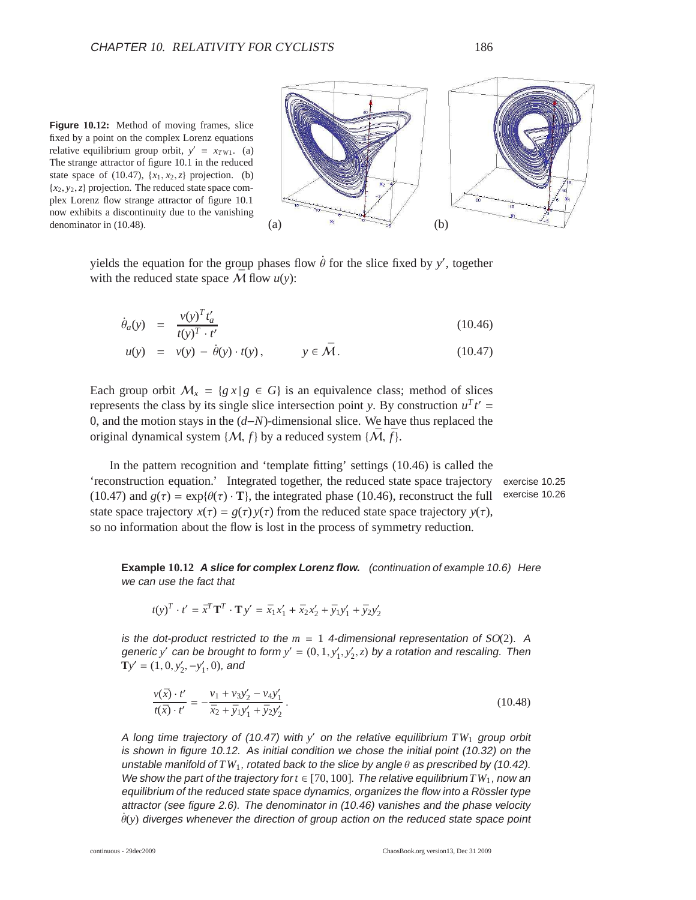**Figure 10.12:** Method of moving frames, slice fixed by a point on the complex Lorenz equations relative equilibrium group orbit,  $y' = x_{TW1}$ . (a) The strange attractor of figure 10.1 in the reduced state space of (10.47),  $\{x_1, x_2, z\}$  projection. (b)  ${x_2, y_2, z}$  projection. The reduced state space complex Lorenz flow strange attractor of figure 10.1 now exhibits a discontinuity due to the vanishing denominator in (10.48). (a)  $(2)$  (c)



yields the equation for the group phases flow  $\dot{\theta}$  for the slice fixed by *y'*, together with the reduced state space  $\overline{M}$  flow  $u(y)$ :

$$
\dot{\theta}_a(y) = \frac{v(y)^T t'_a}{t(y)^T \cdot t'} \tag{10.46}
$$

$$
u(y) = v(y) - \dot{\theta}(y) \cdot t(y), \qquad y \in \bar{\mathcal{M}}.
$$
 (10.47)

Each group orbit  $M_x = \{g \mid x \in G\}$  is an equivalence class; method of slices represents the class by its single slice intersection point *y*. By construction  $u^T t' =$ 0, and the motion stays in the (*d*−*N*)-dimensional slice. We have thus replaced the original dynamical system  $\{M, f\}$  by a reduced system  $\{\bar{M}, \bar{f}\}.$ 

In the pattern recognition and 'template fitting' settings (10.46) is called the 'reconstruction equation.' Integrated together, the reduced state space trajectory exercise 10.25 (10.47) and  $g(\tau) = \exp{\theta(\tau) \cdot \mathbf{T}}$ , the integrated phase (10.46), reconstruct the full exercise 10.26 state space trajectory  $x(\tau) = g(\tau) y(\tau)$  from the reduced state space trajectory  $y(\tau)$ , so no information about the flow is lost in the process of symmetry reduction.

**Example 10.12 <sup>A</sup> slice for complex Lorenz flow.** (continuation of example 10.6) Here we can use the fact that

$$
t(y)^{T} \cdot t' = \bar{x}^{T} \mathbf{T}^{T} \cdot \mathbf{T} y' = \bar{x}_{1} x'_{1} + \bar{x}_{2} x'_{2} + \bar{y}_{1} y'_{1} + \bar{y}_{2} y'_{2}
$$

is the dot-product restricted to the  $m = 1$  4-dimensional representation of  $SO(2)$ . A generic *y'* can be brought to form  $y' = (0, 1, y'_1, y'_2, z)$  by a rotation and rescaling. Then  $\mathbf{T}y' = (1, 0, y'_2, -y'_1, 0)$ , and

$$
\frac{v(\bar{x}) \cdot t'}{t(\bar{x}) \cdot t'} = -\frac{v_1 + v_3 y_2' - v_4 y_1'}{\bar{x}_2 + \bar{y}_1 y_1' + \bar{y}_2 y_2'}.
$$
\n(10.48)

<sup>A</sup> long time trajectory of (10.47) with *y* ′ on the relative equilibrium *TW*<sup>1</sup> group orbit is shown in figure 10.12. As initial condition we chose the initial point (10.32) on the unstable manifold of  $TW_1$ , rotated back to the slice by angle  $\theta$  as prescribed by (10.42). We show the part of the trajectory for  $t \in [70, 100]$ . The relative equilibrium  $TW_1$ , now an equilibrium of the reduced state space dynamics, organizes the flow into a Rössler type attractor (see figure 2.6). The denominator in (10.46) vanishes and the phase velocity  $\dot{\theta}(y)$  diverges whenever the direction of group action on the reduced state space point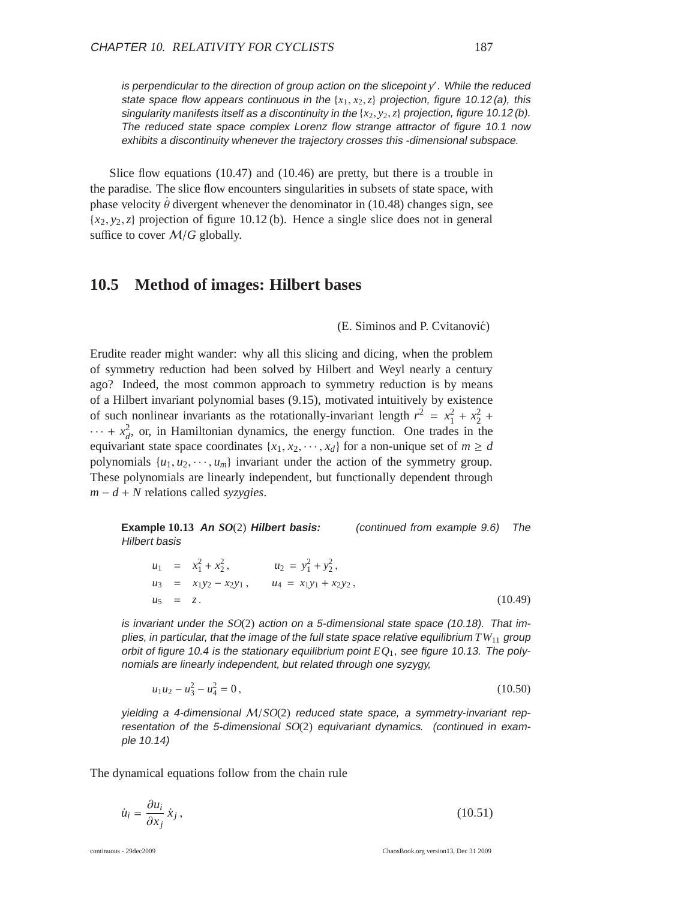is perpendicular to the direction of group action on the slicepoint *y* ′ . While the reduced state space flow appears continuous in the  ${x_1, x_2, z}$  projection, figure 10.12(a), this singularity manifests itself as <sup>a</sup> discontinuity in the {*x*2, *y*2,*z*} projection, figure 10.12 (b). The reduced state space complex Lorenz flow strange attractor of figure 10.1 now exhibits <sup>a</sup> discontinuity whenever the trajectory crosses this -dimensional subspace.

Slice flow equations (10.47) and (10.46) are pretty, but there is a trouble in the paradise. The slice flow encounters singularities in subsets of state space, with phase velocity  $\dot{\theta}$  divergent whenever the denominator in (10.48) changes sign, see  ${x_2, y_2, z}$  projection of figure 10.12 (b). Hence a single slice does not in general suffice to cover <sup>M</sup>/*<sup>G</sup>* globally.

## **10.5 Method of images: Hilbert bases**

(E. Siminos and P. Cvitanović)

Erudite reader might wander: why all this slicing and dicing, when the problem of symmetry reduction had been solved by Hilbert and Weyl nearly a century ago? Indeed, the most common approach to symmetry reduction is by means of a Hilbert invariant polynomial bases (9.15), motivated intuitively by existence of such nonlinear invariants as the rotationally-invariant length  $r^2 = x_1^2 + x_2^2 +$  $\cdots$  +  $x_d^2$ , or, in Hamiltonian dynamics, the energy function. One trades in the equivariant state space coordinates  $\{x_1, x_2, \dots, x_d\}$  for a non-unique set of  $m \ge d$ polynomials  $\{u_1, u_2, \dots, u_m\}$  invariant under the action of the symmetry group. These polynomials are linearly independent, but functionally dependent through *<sup>m</sup>* <sup>−</sup> *<sup>d</sup>* <sup>+</sup> *<sup>N</sup>* relations called *syzygies*.

**Example 10.13 An** *SO*(2) **Hilbert basis:** (continued from example 9.6) The Hilbert basis

$$
u_1 = x_1^2 + x_2^2, \t u_2 = y_1^2 + y_2^2, \n u_3 = x_1y_2 - x_2y_1, \t u_4 = x_1y_1 + x_2y_2, \n u_5 = z.
$$
\n(10.49)

is invariant under the  $SO(2)$  action on a 5-dimensional state space (10.18). That implies, in particular, that the image of the full state space relative equilibrium *TW*<sup>11</sup> group orbit of figure 10.4 is the stationary equilibrium point  $EQ<sub>1</sub>$ , see figure 10.13. The polynomials are linearly independent, but related through one syzygy,

$$
u_1 u_2 - u_3^2 - u_4^2 = 0, \tag{10.50}
$$

yielding a 4-dimensional  $M/SO(2)$  reduced state space, a symmetry-invariant representation of the 5-dimensional SO(2) equivariant dynamics. (continued in example 10.14)

The dynamical equations follow from the chain rule

$$
\dot{u}_i = \frac{\partial u_i}{\partial x_j} \dot{x}_j, \tag{10.51}
$$

continuous - 29dec2009 ChaosBook.org version13, Dec 31 2009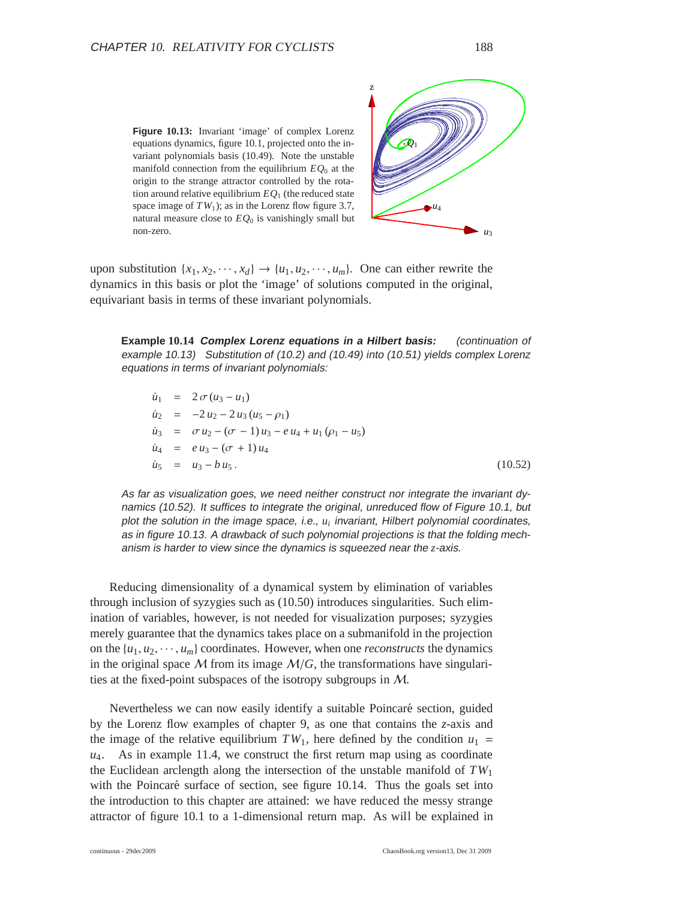**Figure 10.13:** Invariant 'image' of complex Lorenz equations dynamics, figure 10.1, projected onto the invariant polynomials basis (10.49). Note the unstable manifold connection from the equilibrium *EQ*<sup>0</sup> at the origin to the strange attractor controlled by the rotation around relative equilibrium  $EQ<sub>1</sub>$  (the reduced state space image of  $TW_1$ ); as in the Lorenz flow figure 3.7, natural measure close to  $EQ<sub>0</sub>$  is vanishingly small but non-zero.  $u_3$ 



upon substitution  $\{x_1, x_2, \dots, x_d\} \rightarrow \{u_1, u_2, \dots, u_m\}$ . One can either rewrite the dynamics in this basis or plot the 'image' of solutions computed in the original, equivariant basis in terms of these invariant polynomials.

**Example 10.14 Complex Lorenz equations in <sup>a</sup> Hilbert basis:** (continuation of example 10.13) Substitution of (10.2) and (10.49) into (10.51) yields complex Lorenz equations in terms of invariant polynomials:

$$
\begin{aligned}\n\dot{u}_1 &= 2 \sigma (u_3 - u_1) \\
\dot{u}_2 &= -2 u_2 - 2 u_3 (u_5 - \rho_1) \\
\dot{u}_3 &= \sigma u_2 - (\sigma - 1) u_3 - e u_4 + u_1 (\rho_1 - u_5) \\
\dot{u}_4 &= e u_3 - (\sigma + 1) u_4 \\
\dot{u}_5 &= u_3 - b u_5.\n\end{aligned} \tag{10.52}
$$

As far as visualization goes, we need neither construct nor integrate the invariant dynamics (10.52). It suffices to integrate the original, unreduced flow of Figure 10.1, but plot the solution in the image space, i.e.,  $u_i$  invariant, Hilbert polynomial coordinates, as in figure 10.13. <sup>A</sup> drawback of such polynomial projections is that the folding mechanism is harder to view since the dynamics is squeezed near the *z*-axis.

Reducing dimensionality of a dynamical system by elimination of variables through inclusion of syzygies such as (10.50) introduces singularities. Such elimination of variables, however, is not needed for visualization purposes; syzygies merely guarantee that the dynamics takes place on a submanifold in the projection on the  $\{u_1, u_2, \dots, u_m\}$  coordinates. However, when one *reconstructs* the dynamics in the original space  $\mathcal M$  from its image  $\mathcal M/G$ , the transformations have singularities at the fixed-point subspaces of the isotropy subgroups in M.

Nevertheless we can now easily identify a suitable Poincaré section, guided by the Lorenz flow examples of chapter 9, as one that contains the *z*-axis and the image of the relative equilibrium  $TW_1$ , here defined by the condition  $u_1$  =  $u_4$ . As in example 11.4, we construct the first return map using as coordinate the Euclidean arclength along the intersection of the unstable manifold of  $TW_1$ with the Poincaré surface of section, see figure  $10.14$ . Thus the goals set into the introduction to this chapter are attained: we have reduced the messy strange attractor of figure 10.1 to a 1-dimensional return map. As will be explained in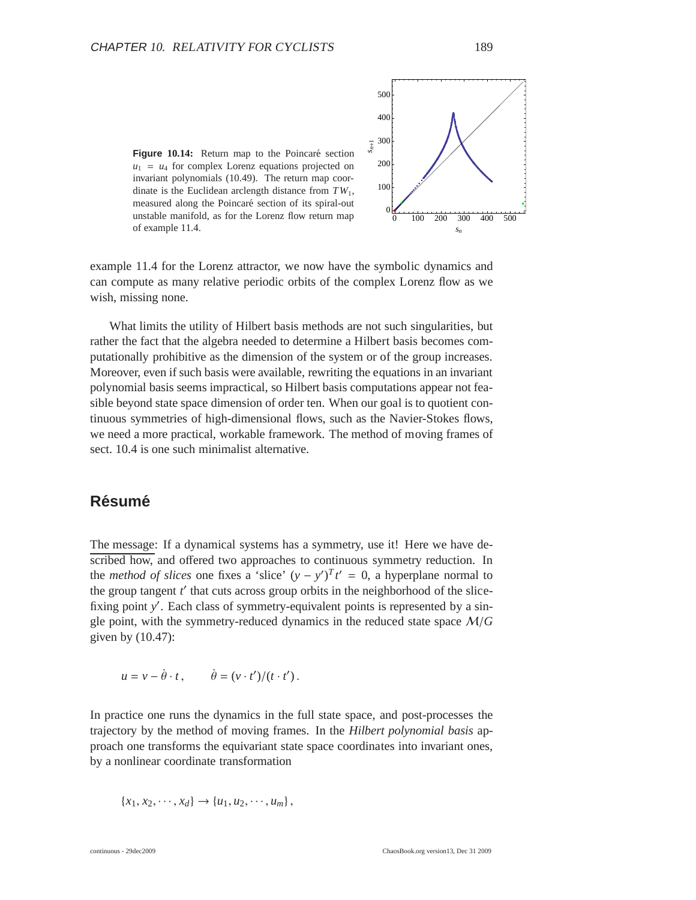

example 11.4 for the Lorenz attractor, we now have the symbolic dynamics and can compute as many relative periodic orbits of the complex Lorenz flow as we wish, missing none.

What limits the utility of Hilbert basis methods are not such singularities, but rather the fact that the algebra needed to determine a Hilbert basis becomes computationally prohibitive as the dimension of the system or of the group increases. Moreover, even if such basis were available, rewriting the equations in an invariant polynomial basis seems impractical, so Hilbert basis computations appear not feasible beyond state space dimension of order ten. When our goal is to quotient continuous symmetries of high-dimensional flows, such as the Navier-Stokes flows, we need a more practical, workable framework. The method of moving frames of sect. 10.4 is one such minimalist alternative.

## **Résumé**

The message: If a dynamical systems has a symmetry, use it! Here we have described how, and offered two approaches to continuous symmetry reduction. In the *method of slices* one fixes a 'slice'  $(y - y')^T t' = 0$ , a hyperplane normal to the group tangent *t'* that cuts across group orbits in the neighborhood of the slicefixing point y'. Each class of symmetry-equivalent points is represented by a single point, with the symmetry-reduced dynamics in the reduced state space M/*G* given by (10.47):

$$
u = v - \dot{\theta} \cdot t, \qquad \dot{\theta} = (v \cdot t')/(t \cdot t').
$$

In practice one runs the dynamics in the full state space, and post-processes the trajectory by the method of moving frames. In the *Hilbert polynomial basis* approach one transforms the equivariant state space coordinates into invariant ones, by a nonlinear coordinate transformation

$$
\{x_1, x_2, \cdots, x_d\} \to \{u_1, u_2, \cdots, u_m\},\
$$

0 100 200 300 400 500

*sn*

0

100

200

300

*sn*+1

400

500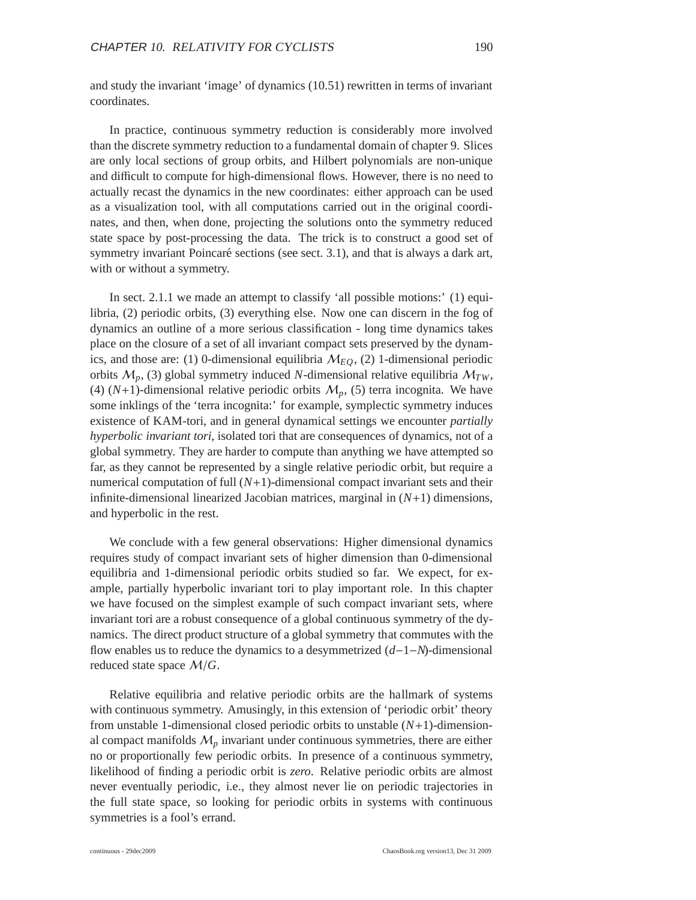In practice, continuous symmetry reduction is considerably more involved than the discrete symmetry reduction to a fundamental domain of chapter 9. Slices are only local sections of group orbits, and Hilbert polynomials are non-unique and difficult to compute for high-dimensional flows. However, there is no need to actually recast the dynamics in the new coordinates: either approach can be used as a visualization tool, with all computations carried out in the original coordinates, and then, when done, projecting the solutions onto the symmetry reduced state space by post-processing the data. The trick is to construct a good set of symmetry invariant Poincaré sections (see sect.  $3.1$ ), and that is always a dark art, with or without a symmetry.

In sect. 2.1.1 we made an attempt to classify 'all possible motions:' (1) equilibria, (2) periodic orbits, (3) everything else. Now one can discern in the fog of dynamics an outline of a more serious classification - long time dynamics takes place on the closure of a set of all invariant compact sets preserved by the dynamics, and those are: (1) 0-dimensional equilibria  $M_{EO}$ , (2) 1-dimensional periodic orbits M*p*, (3) global symmetry induced *N*-dimensional relative equilibria M*TW*, (4)  $(N+1)$ -dimensional relative periodic orbits  $M_p$ , (5) terra incognita. We have some inklings of the 'terra incognita:' for example, symplectic symmetry induces existence of KAM-tori, and in general dynamical settings we encounter *partially hyperbolic invariant tori*, isolated tori that are consequences of dynamics, not of a global symmetry. They are harder to compute than anything we have attempted so far, as they cannot be represented by a single relative periodic orbit, but require a numerical computation of full (*N*+1)-dimensional compact invariant sets and their infinite-dimensional linearized Jacobian matrices, marginal in (*N*+1) dimensions, and hyperbolic in the rest.

We conclude with a few general observations: Higher dimensional dynamics requires study of compact invariant sets of higher dimension than 0-dimensional equilibria and 1-dimensional periodic orbits studied so far. We expect, for example, partially hyperbolic invariant tori to play important role. In this chapter we have focused on the simplest example of such compact invariant sets, where invariant tori are a robust consequence of a global continuous symmetry of the dynamics. The direct product structure of a global symmetry that commutes with the flow enables us to reduce the dynamics to a desymmetrized (*d*−1−*N*)-dimensional reduced state space M/*G*.

Relative equilibria and relative periodic orbits are the hallmark of systems with continuous symmetry. Amusingly, in this extension of 'periodic orbit' theory from unstable 1-dimensional closed periodic orbits to unstable (*N*+1)-dimensional compact manifolds  $M_p$  invariant under continuous symmetries, there are either no or proportionally few periodic orbits. In presence of a continuous symmetry, likelihood of finding a periodic orbit is *zero*. Relative periodic orbits are almost never eventually periodic, i.e., they almost never lie on periodic trajectories in the full state space, so looking for periodic orbits in systems with continuous symmetries is a fool's errand.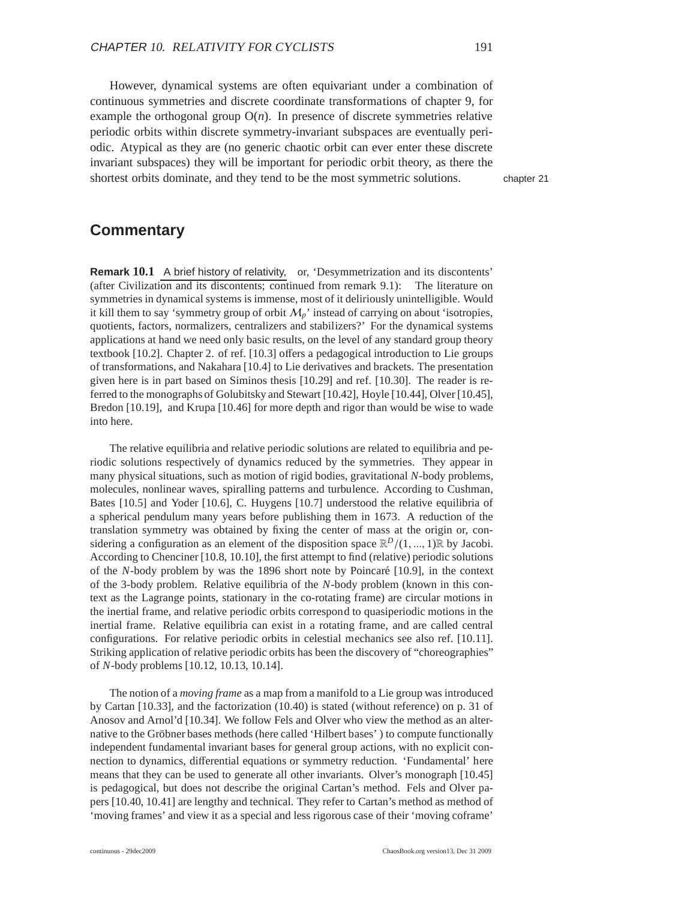However, dynamical systems are often equivariant under a combination of continuous symmetries and discrete coordinate transformations of chapter 9, for example the orthogonal group  $O(n)$ . In presence of discrete symmetries relative periodic orbits within discrete symmetry-invariant subspaces are eventually periodic. Atypical as they are (no generic chaotic orbit can ever enter these discrete invariant subspaces) they will be important for periodic orbit theory, as there the shortest orbits dominate, and they tend to be the most symmetric solutions. chapter 21

## **Commentary**

**Remark 10.1** A brief history of relativity, or, 'Desymmetrization and its discontents' (after Civilization and its discontents; continued from remark 9.1): The literature on symmetries in dynamical systems is immense, most of it deliriously unintelligible. Would it kill them to say 'symmetry group of orbit  $M_p$ ' instead of carrying on about 'isotropies, quotients, factors, normalizers, centralizers and stabilizers?' For the dynamical systems applications at hand we need only basic results, on the level of any standard group theory textbook [10.2]. Chapter 2. of ref. [10.3] offers a pedagogical introduction to Lie groups of transformations, and Nakahara [10.4] to Lie derivatives and brackets. The presentation given here is in part based on Siminos thesis [10.29] and ref. [10.30]. The reader is referred to the monographs of Golubitsky and Stewart [10.42], Hoyle [10.44], Olver [10.45], Bredon [10.19], and Krupa [10.46] for more depth and rigor than would be wise to wade into here.

The relative equilibria and relative periodic solutions are related to equilibria and periodic solutions respectively of dynamics reduced by the symmetries. They appear in many physical situations, such as motion of rigid bodies, gravitational *N*-body problems, molecules, nonlinear waves, spiralling patterns and turbulence. According to Cushman, Bates [10.5] and Yoder [10.6], C. Huygens [10.7] understood the relative equilibria of a spherical pendulum many years before publishing them in 1673. A reduction of the translation symmetry was obtained by fixing the center of mass at the origin or, considering a configuration as an element of the disposition space  $\mathbb{R}^D/(1, ..., 1)\mathbb{R}$  by Jacobi. According to Chenciner [10.8, 10.10], the first attempt to find (relative) periodic solutions of the *N*-body problem by was the 1896 short note by Poincaré [10.9], in the context of the 3-body problem. Relative equilibria of the *N*-body problem (known in this context as the Lagrange points, stationary in the co-rotating frame) are circular motions in the inertial frame, and relative periodic orbits correspond to quasiperiodic motions in the inertial frame. Relative equilibria can exist in a rotating frame, and are called central configurations. For relative periodic orbits in celestial mechanics see also ref. [10.11]. Striking application of relative periodic orbits has been the discovery of "choreographies" of *N*-body problems [10.12, 10.13, 10.14].

The notion of a *moving frame* as a map from a manifold to a Lie group was introduced by Cartan [10.33], and the factorization (10.40) is stated (without reference) on p. 31 of Anosov and Arnol'd [10.34]. We follow Fels and Olver who view the method as an alternative to the Gröbner bases methods (here called 'Hilbert bases') to compute functionally independent fundamental invariant bases for general group actions, with no explicit connection to dynamics, differential equations or symmetry reduction. 'Fundamental' here means that they can be used to generate all other invariants. Olver's monograph [10.45] is pedagogical, but does not describe the original Cartan's method. Fels and Olver papers [10.40, 10.41] are lengthy and technical. They refer to Cartan's method as method of 'moving frames' and view it as a special and less rigorous case of their 'moving coframe'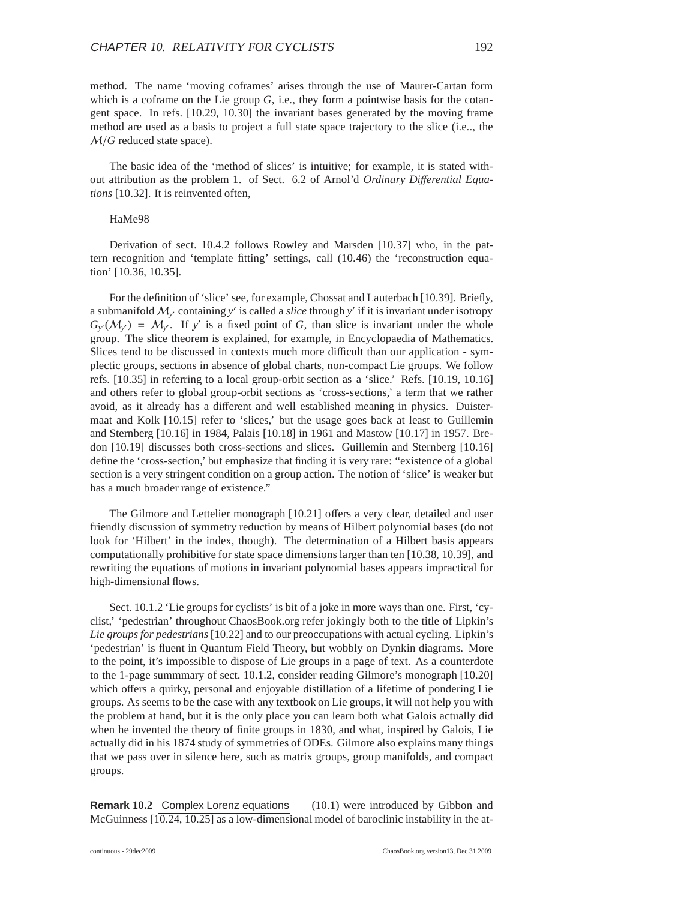method. The name 'moving coframes' arises through the use of Maurer-Cartan form which is a coframe on the Lie group  $G$ , i.e., they form a pointwise basis for the cotangent space. In refs. [10.29, 10.30] the invariant bases generated by the moving frame method are used as a basis to project a full state space trajectory to the slice (i.e.., the M/*G* reduced state space).

The basic idea of the 'method of slices' is intuitive; for example, it is stated without attribution as the problem 1. of Sect. 6.2 of Arnol'd *Ordinary Di*ff*erential Equations* [10.32]. It is reinvented often,

#### HaMe98

Derivation of sect. 10.4.2 follows Rowley and Marsden [10.37] who, in the pattern recognition and 'template fitting' settings, call (10.46) the 'reconstruction equation' [10.36, 10.35].

For the definition of 'slice' see, for example, Chossat and Lauterbach [10.39]. Briefly, a submanifold M*<sup>y</sup>* ′ containing *y* ′ is called a *slice* through *y* ′ if it is invariant under isotropy  $G_y(M_{y}) = M_{y}$ . If *y*' is a fixed point of *G*, than slice is invariant under the whole group. The slice theorem is explained, for example, in Encyclopaedia of Mathematics. Slices tend to be discussed in contexts much more difficult than our application - symplectic groups, sections in absence of global charts, non-compact Lie groups. We follow refs. [10.35] in referring to a local group-orbit section as a 'slice.' Refs. [10.19, 10.16] and others refer to global group-orbit sections as 'cross-sections,' a term that we rather avoid, as it already has a different and well established meaning in physics. Duistermaat and Kolk [10.15] refer to 'slices,' but the usage goes back at least to Guillemin and Sternberg [10.16] in 1984, Palais [10.18] in 1961 and Mastow [10.17] in 1957. Bredon [10.19] discusses both cross-sections and slices. Guillemin and Sternberg [10.16] define the 'cross-section,' but emphasize that finding it is very rare: "existence of a global section is a very stringent condition on a group action. The notion of 'slice' is weaker but has a much broader range of existence."

The Gilmore and Lettelier monograph [10.21] offers a very clear, detailed and user friendly discussion of symmetry reduction by means of Hilbert polynomial bases (do not look for 'Hilbert' in the index, though). The determination of a Hilbert basis appears computationally prohibitive for state space dimensions larger than ten [10.38, 10.39], and rewriting the equations of motions in invariant polynomial bases appears impractical for high-dimensional flows.

Sect. 10.1.2 'Lie groups for cyclists' is bit of a joke in more ways than one. First, 'cyclist,' 'pedestrian' throughout ChaosBook.org refer jokingly both to the title of Lipkin's *Lie groups for pedestrians*[10.22] and to our preoccupations with actual cycling. Lipkin's 'pedestrian' is fluent in Quantum Field Theory, but wobbly on Dynkin diagrams. More to the point, it's impossible to dispose of Lie groups in a page of text. As a counterdote to the 1-page summmary of sect. 10.1.2, consider reading Gilmore's monograph [10.20] which offers a quirky, personal and enjoyable distillation of a lifetime of pondering Lie groups. As seems to be the case with any textbook on Lie groups, it will not help you with the problem at hand, but it is the only place you can learn both what Galois actually did when he invented the theory of finite groups in 1830, and what, inspired by Galois, Lie actually did in his 1874 study of symmetries of ODEs. Gilmore also explains many things that we pass over in silence here, such as matrix groups, group manifolds, and compact groups.

**Remark 10.2** Complex Lorenz equations (10.1) were introduced by Gibbon and McGuinness  $[10.24, 10.25]$  as a low-dimensional model of baroclinic instability in the at-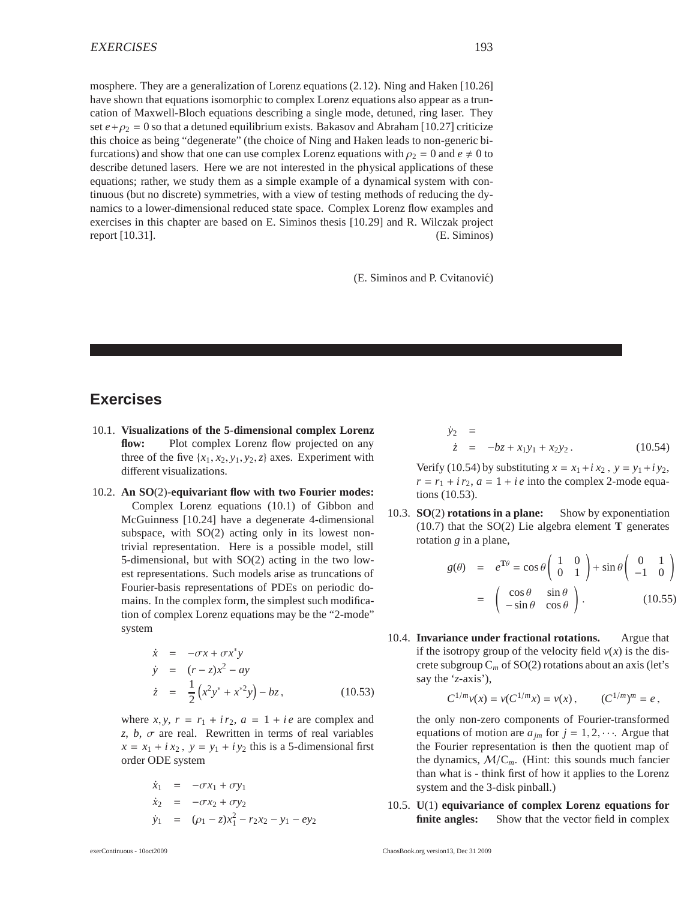mosphere. They are a generalization of Lorenz equations (2.12). Ning and Haken [10.26] have shown that equations isomorphic to complex Lorenz equations also appear as a truncation of Maxwell-Bloch equations describing a single mode, detuned, ring laser. They set  $e + \rho_2 = 0$  so that a detuned equilibrium exists. Bakasov and Abraham [10.27] criticize this choice as being "degenerate" (the choice of Ning and Haken leads to non-generic bifurcations) and show that one can use complex Lorenz equations with  $\rho_2 = 0$  and  $e \neq 0$  to describe detuned lasers. Here we are not interested in the physical applications of these equations; rather, we study them as a simple example of a dynamical system with continuous (but no discrete) symmetries, with a view of testing methods of reducing the dynamics to a lower-dimensional reduced state space. Complex Lorenz flow examples and exercises in this chapter are based on E. Siminos thesis [10.29] and R. Wilczak project report [10.31]. (E. Siminos)

(E. Siminos and P. Cvitanović)

## **Exercises**

- 10.1. **Visualizations of the 5-dimensional complex Lorenz** flow: Plot complex Lorenz flow projected on any three of the five  $\{x_1, x_2, y_1, y_2, z\}$  axes. Experiment with different visualizations.
- 10.2. **An SO**(2)**-equivariant flow with two Fourier modes:** Complex Lorenz equations (10.1) of Gibbon and McGuinness [10.24] have a degenerate 4-dimensional subspace, with SO(2) acting only in its lowest nontrivial representation. Here is a possible model, still 5-dimensional, but with SO(2) acting in the two lowest representations. Such models arise as truncations of Fourier-basis representations of PDEs on periodic domains. In the complex form, the simplest such modification of complex Lorenz equations may be the "2-mode" system

$$
\dot{x} = -\sigma x + \sigma x^* y
$$
\n
$$
\dot{y} = (r - z)x^2 - ay
$$
\n
$$
\dot{z} = \frac{1}{2}(x^2 y^* + x^{*2} y) - bz,
$$
\n(10.53)

where  $x, y, r = r_1 + ir_2, a = 1 + ie$  are complex and *z*, *b*,  $\sigma$  are real. Rewritten in terms of real variables  $x = x_1 + i x_2$ ,  $y = y_1 + i y_2$  this is a 5-dimensional first order ODE system

$$
\dot{x}_1 = -\sigma x_1 + \sigma y_1 \n\dot{x}_2 = -\sigma x_2 + \sigma y_2 \n\dot{y}_1 = (\rho_1 - z)x_1^2 - r_2 x_2 - y_1 - ey_2
$$

$$
\dot{y}_2 = \n\dot{z} = -bz + x_1y_1 + x_2y_2.
$$
\n(10.54)

Verify (10.54) by substituting  $x = x_1 + i x_2$ ,  $y = y_1 + i y_2$ ,  $r = r_1 + i r_2$ ,  $a = 1 + i e$  into the complex 2-mode equations (10.53).

10.3. **SO**(2) **rotations in a plane:** Show by exponentiation (10.7) that the SO(2) Lie algebra element **T** generates rotation *g* in a plane,

$$
g(\theta) = e^{\text{T}\theta} = \cos\theta \begin{pmatrix} 1 & 0 \\ 0 & 1 \end{pmatrix} + \sin\theta \begin{pmatrix} 0 & 1 \\ -1 & 0 \end{pmatrix}
$$

$$
= \begin{pmatrix} \cos\theta & \sin\theta \\ -\sin\theta & \cos\theta \end{pmatrix}.
$$
 (10.55)

10.4. **Invariance under fractional rotations.** Argue that if the isotropy group of the velocity field  $v(x)$  is the discrete subgroup  $C_m$  of  $SO(2)$  rotations about an axis (let's say the '*z*-axis'),

$$
C^{1/m}v(x) = v(C^{1/m}x) = v(x), \qquad (C^{1/m})^m = e,
$$

the only non-zero components of Fourier-transformed equations of motion are  $a_{im}$  for  $j = 1, 2, \cdots$ . Argue that the Fourier representation is then the quotient map of the dynamics,  $M/C_m$ . (Hint: this sounds much fancier than what is - think first of how it applies to the Lorenz system and the 3-disk pinball.)

10.5. **U**(1) **equivariance of complex Lorenz equations for finite angles:** Show that the vector field in complex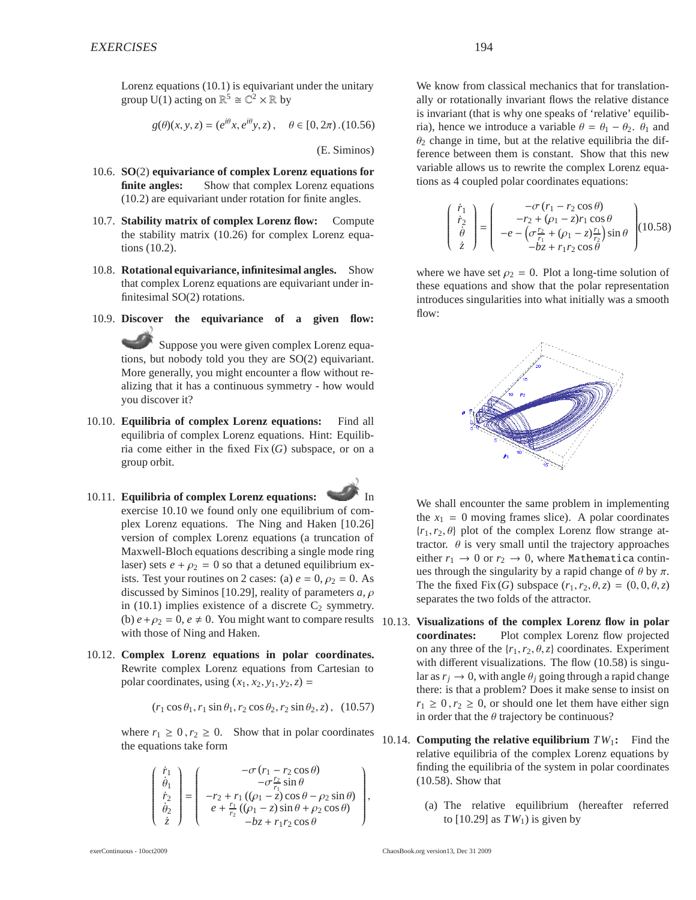Lorenz equations (10.1) is equivariant under the unitary group U(1) acting on  $\mathbb{R}^5 \cong \mathbb{C}^2 \times \mathbb{R}$  by

$$
g(\theta)(x, y, z) = (e^{i\theta}x, e^{i\theta}y, z), \quad \theta \in [0, 2\pi) \, . (10.56)
$$

(E. Siminos)

- 10.6. **SO**(2) **equivariance of complex Lorenz equations for finite angles:** Show that complex Lorenz equations (10.2) are equivariant under rotation for finite angles.
- 10.7. **Stability matrix of complex Lorenz flow:** Compute the stability matrix (10.26) for complex Lorenz equations (10.2).
- 10.8. **Rotational equivariance, infinitesimal angles.** Show that complex Lorenz equations are equivariant under infinitesimal SO(2) rotations.
- 10.9. **Discover the equivariance of a given flow:** Suppose you were given complex Lorenz equations, but nobody told you they are SO(2) equivariant. More generally, you might encounter a flow without realizing that it has a continuous symmetry - how would you discover it?
- 10.10. **Equilibria of complex Lorenz equations:** Find all equilibria of complex Lorenz equations. Hint: Equilibria come either in the fixed Fix (*G*) subspace, or on a group orbit.
- 10.11. **Equilibria of complex Lorenz equations:** exercise 10.10 we found only one equilibrium of complex Lorenz equations. The Ning and Haken [10.26] version of complex Lorenz equations (a truncation of Maxwell-Bloch equations describing a single mode ring laser) sets  $e + \rho_2 = 0$  so that a detuned equilibrium exists. Test your routines on 2 cases: (a)  $e = 0$ ,  $\rho_2 = 0$ . As discussed by Siminos [10.29], reality of parameters *a*, ρ in (10.1) implies existence of a discrete  $C_2$  symmetry. (b)  $e + \rho_2 = 0$ ,  $e \neq 0$ . You might want to compare results 10.13. **Visualizations of the complex Lorenz flow in polar** with those of Ning and Haken.
- 10.12. **Complex Lorenz equations in polar coordinates.** Rewrite complex Lorenz equations from Cartesian to polar coordinates, using  $(x_1, x_2, y_1, y_2, z) =$

$$
(r_1 \cos \theta_1, r_1 \sin \theta_1, r_2 \cos \theta_2, r_2 \sin \theta_2, z), (10.57)
$$

where  $r_1 \geq 0$ ,  $r_2 \geq 0$ . Show that in polar coordinates the equations take form

$$
\begin{pmatrix}\n\dot{r}_1 \\
\dot{\theta}_1 \\
\dot{r}_2 \\
\dot{\theta}_2 \\
\dot{z}\n\end{pmatrix} = \begin{pmatrix}\n-\sigma (r_1 - r_2 \cos \theta) \\
-\sigma \frac{r_2}{r_1} \sin \theta \\
-r_2 + r_1 ((\rho_1 - z) \cos \theta - \rho_2 \sin \theta) \\
e + \frac{r_1}{r_2} ((\rho_1 - z) \sin \theta + \rho_2 \cos \theta) \\
-bz + r_1 r_2 \cos \theta\n\end{pmatrix},
$$

We know from classical mechanics that for translationally or rotationally invariant flows the relative distance is invariant (that is why one speaks of 'relative' equilibria), hence we introduce a variable  $\theta = \theta_1 - \theta_2$ .  $\theta_1$  and  $\theta_2$  change in time, but at the relative equilibria the difference between them is constant. Show that this new variable allows us to rewrite the complex Lorenz equations as 4 coupled polar coordinates equations:

$$
\begin{pmatrix}\n\dot{r}_1 \\
\dot{r}_2 \\
\dot{\theta} \\
\dot{z}\n\end{pmatrix} = \begin{pmatrix}\n-\sigma (r_1 - r_2 \cos \theta) \\
-r_2 + (\rho_1 - z)r_1 \cos \theta \\
-e - (\sigma \frac{r_2}{r_1} + (\rho_1 - z) \frac{r_1}{r_2}) \sin \theta \\
-bz + r_1 r_2 \cos \theta\n\end{pmatrix} (10.58)
$$

where we have set  $\rho_2 = 0$ . Plot a long-time solution of these equations and show that the polar representation introduces singularities into what initially was a smooth flow:



We shall encounter the same problem in implementing the  $x_1 = 0$  moving frames slice). A polar coordinates  ${r_1, r_2, \theta}$  plot of the complex Lorenz flow strange attractor.  $\theta$  is very small until the trajectory approaches either  $r_1 \rightarrow 0$  or  $r_2 \rightarrow 0$ , where Mathematica continues through the singularity by a rapid change of  $\theta$  by  $\pi$ . The the fixed Fix (*G*) subspace  $(r_1, r_2, \theta, z) = (0, 0, \theta, z)$ separates the two folds of the attractor.

- **coordinates:** Plot complex Lorenz flow projected on any three of the  $\{r_1, r_2, \theta, z\}$  coordinates. Experiment with different visualizations. The flow (10.58) is singular as  $r_j \rightarrow 0$ , with angle  $\theta_j$  going through a rapid change there: is that a problem? Does it make sense to insist on  $r_1 \geq 0, r_2 \geq 0$ , or should one let them have either sign in order that the  $\theta$  trajectory be continuous?
- 10.14. **Computing the relative equilibrium**  $TW_1$ : Find the relative equilibria of the complex Lorenz equations by finding the equilibria of the system in polar coordinates (10.58). Show that
	- (a) The relative equilibrium (hereafter referred to  $[10.29]$  as  $TW_1$ ) is given by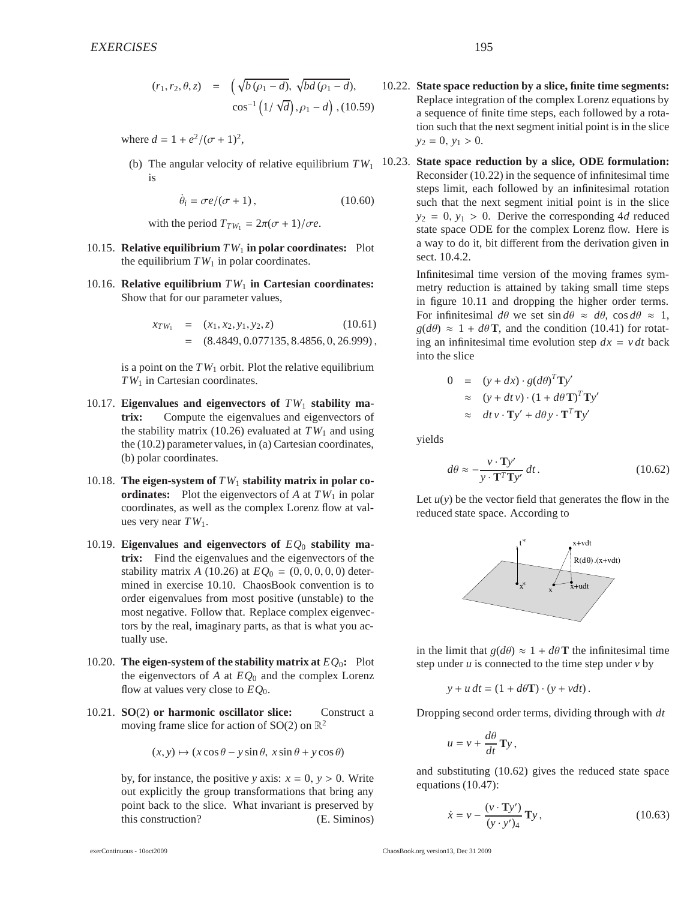$$
(r_1, r_2, \theta, z) = \left(\sqrt{b\,(\rho_1 - d)}, \sqrt{bd\,(\rho_1 - d)}, \right. \n\cos^{-1}\left(1/\sqrt{d}\right), \rho_1 - d\right), (10.59)
$$

where  $d = 1 + e^2/(\sigma + 1)^2$ ,

is

$$
\dot{\theta}_i = \sigma e / (\sigma + 1), \qquad (10.60)
$$

with the period  $T_{TW_1} = 2\pi(\sigma + 1)/\sigma e$ .

- 10.15. **Relative equilibrium**  $TW_1$  in polar coordinates: Plot the equilibrium  $TW_1$  in polar coordinates.
- 10.16. **Relative equilibrium** *TW*<sup>1</sup> **in Cartesian coordinates:** Show that for our parameter values,

$$
x_{TW_1} = (x_1, x_2, y_1, y_2, z)
$$
(10.61)  
= (8.4849, 0.077135, 8.4856, 0, 26.999),

is a point on the  $TW_1$  orbit. Plot the relative equilibrium *TW*<sup>1</sup> in Cartesian coordinates.

- 10.17. **Eigenvalues and eigenvectors of** *TW*<sup>1</sup> **stability matrix:** Compute the eigenvalues and eigenvectors of the stability matrix (10.26) evaluated at  $TW_1$  and using the (10.2) parameter values, in (a) Cartesian coordinates, (b) polar coordinates.
- 10.18. **The eigen-system of** *TW*<sup>1</sup> **stability matrix in polar coordinates:** Plot the eigenvectors of *A* at  $TW_1$  in polar coordinates, as well as the complex Lorenz flow at values very near *TW*1.
- 10.19. **Eigenvalues and eigenvectors of** *EQ*<sup>0</sup> **stability matrix:** Find the eigenvalues and the eigenvectors of the stability matrix *A* (10.26) at  $EQ_0 = (0, 0, 0, 0, 0)$  determined in exercise 10.10. ChaosBook convention is to order eigenvalues from most positive (unstable) to the most negative. Follow that. Replace complex eigenvectors by the real, imaginary parts, as that is what you actually use.
- 10.20. **The eigen-system of the stability matrix at**  $EQ_0$ **:** Plot the eigenvectors of *A* at *EQ*<sup>0</sup> and the complex Lorenz flow at values very close to  $EO_0$ .
- 10.21. **SO**(2) **or harmonic oscillator slice:** Construct a moving frame slice for action of SO(2) on  $\mathbb{R}^2$

$$
(x, y) \mapsto (x \cos \theta - y \sin \theta, x \sin \theta + y \cos \theta)
$$

by, for instance, the positive *y* axis:  $x = 0$ ,  $y > 0$ . Write out explicitly the group transformations that bring any point back to the slice. What invariant is preserved by this construction? (E. Siminos)

exerContinuous - 10oct2009 ChaosBook.org version13, Dec 31 2009

- 10.22. **State space reduction by a slice, finite time segments:** Replace integration of the complex Lorenz equations by a sequence of finite time steps, each followed by a rotation such that the next segment initial point is in the slice  $y_2 = 0, y_1 > 0.$
- (b) The angular velocity of relative equilibrium  $TW_1$  10.23. **State space reduction by a slice, ODE formulation:** Reconsider (10.22) in the sequence of infinitesimal time steps limit, each followed by an infinitesimal rotation such that the next segment initial point is in the slice  $y_2 = 0$ ,  $y_1 > 0$ . Derive the corresponding 4*d* reduced state space ODE for the complex Lorenz flow. Here is a way to do it, bit different from the derivation given in sect. 10.4.2.

Infinitesimal time version of the moving frames symmetry reduction is attained by taking small time steps in figure 10.11 and dropping the higher order terms. For infinitesimal  $d\theta$  we set  $\sin d\theta \approx d\theta$ ,  $\cos d\theta \approx 1$ ,  $g(d\theta) \approx 1 + d\theta$ **T**, and the condition (10.41) for rotating an infinitesimal time evolution step  $dx = v dt$  back into the slice

$$
0 = (y + dx) \cdot g(d\theta)^T \mathbf{T} y'
$$
  
\n
$$
\approx (y + dt v) \cdot (1 + d\theta \mathbf{T})^T \mathbf{T} y'
$$
  
\n
$$
\approx dt v \cdot \mathbf{T} y' + d\theta y \cdot \mathbf{T}^T \mathbf{T} y'
$$

yields

$$
d\theta \approx -\frac{v \cdot \mathbf{T} y'}{y \cdot \mathbf{T}^T \mathbf{T} y'} dt. \tag{10.62}
$$

Let  $u(y)$  be the vector field that generates the flow in the reduced state space. According to



in the limit that  $g(d\theta) \approx 1 + d\theta \mathbf{T}$  the infinitesimal time step under *u* is connected to the time step under *v* by

$$
y + u dt = (1 + d\theta \mathbf{T}) \cdot (y + v dt).
$$

Dropping second order terms, dividing through with *dt*

$$
u = v + \frac{d\theta}{dt} \mathbf{T} y,
$$

and substituting (10.62) gives the reduced state space equations (10.47):

$$
\dot{x} = v - \frac{(v \cdot \mathbf{T}y')}{(y \cdot y')_4} \mathbf{T}y, \qquad (10.63)
$$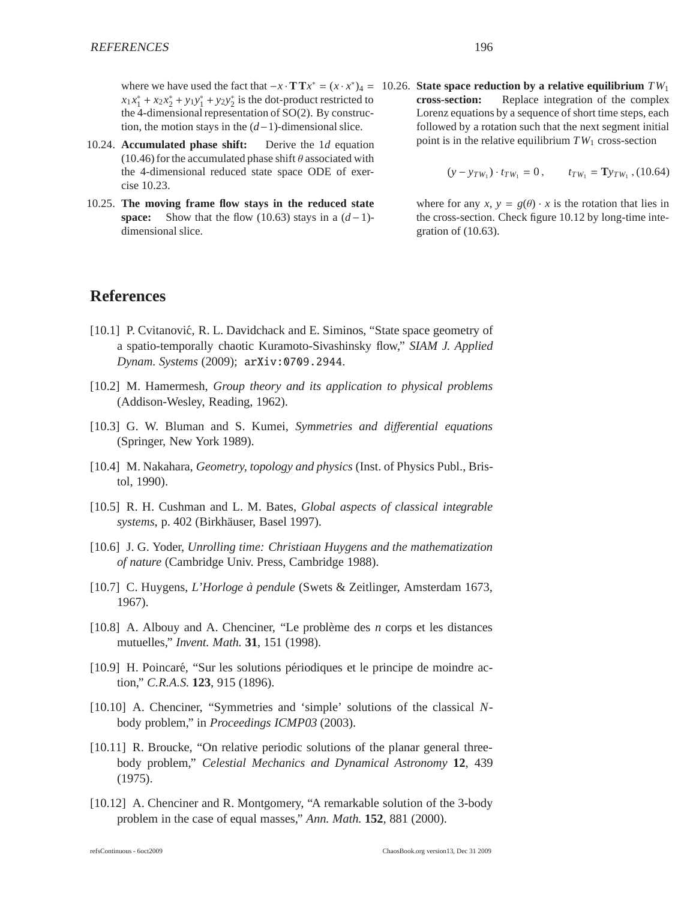$x_1 x_1^* + x_2 x_2^* + y_1 y_1^* + y_2 y_2^*$  is the dot-product restricted to the 4-dimensional representation of SO(2). By construction, the motion stays in the (*d*−1)-dimensional slice.

- 10.24. **Accumulated phase shift:** Derive the 1*d* equation (10.46) for the accumulated phase shift  $\theta$  associated with the 4-dimensional reduced state space ODE of exercise 10.23.
- 10.25. **The moving frame flow stays in the reduced state space:** Show that the flow (10.63) stays in a  $(d-1)$ dimensional slice.

where we have used the fact that  $-x \cdot T T x^* = (x \cdot x^*)^4 = 10.26$ . **State space reduction by a relative equilibrium**  $TW_1$ **cross-section:** Replace integration of the complex Lorenz equations by a sequence of short time steps, each followed by a rotation such that the next segment initial point is in the relative equilibrium  $TW_1$  cross-section

$$
(y-y_{TW_1})\cdot t_{TW_1}=0\,,\qquad t_{TW_1}={\bf Ty}_{TW_1}\,, (10.64)
$$

where for any *x*,  $y = g(\theta) \cdot x$  is the rotation that lies in the cross-section. Check figure 10.12 by long-time integration of (10.63).

## **References**

- [10.1] P. Cvitanović, R. L. Davidchack and E. Siminos, "State space geometry of a spatio-temporally chaotic Kuramoto-Sivashinsky flow," *SIAM J. Applied Dynam. Systems* (2009); arXiv:0709.2944.
- [10.2] M. Hamermesh, *Group theory and its application to physical problems* (Addison-Wesley, Reading, 1962).
- [10.3] G. W. Bluman and S. Kumei, *Symmetries and di*ff*erential equations* (Springer, New York 1989).
- [10.4] M. Nakahara, *Geometry, topology and physics* (Inst. of Physics Publ., Bristol, 1990).
- [10.5] R. H. Cushman and L. M. Bates, *Global aspects of classical integrable systems*, p. 402 (Birkhäuser, Basel 1997).
- [10.6] J. G. Yoder, *Unrolling time: Christiaan Huygens and the mathematization of nature* (Cambridge Univ. Press, Cambridge 1988).
- [10.7] C. Huygens, *L'Horloge `a pendule* (Swets & Zeitlinger, Amsterdam 1673, 1967).
- [10.8] A. Albouy and A. Chenciner, "Le problème des *n* corps et les distances mutuelles," *Invent. Math.* **31**, 151 (1998).
- [10.9] H. Poincaré, "Sur les solutions périodiques et le principe de moindre action," *C.R.A.S.* **123**, 915 (1896).
- [10.10] A. Chenciner, "Symmetries and 'simple' solutions of the classical *N*body problem," in *Proceedings ICMP03* (2003).
- [10.11] R. Broucke, "On relative periodic solutions of the planar general threebody problem," *Celestial Mechanics and Dynamical Astronomy* **12**, 439 (1975).
- [10.12] A. Chenciner and R. Montgomery, "A remarkable solution of the 3-body problem in the case of equal masses," *Ann. Math.* **152**, 881 (2000).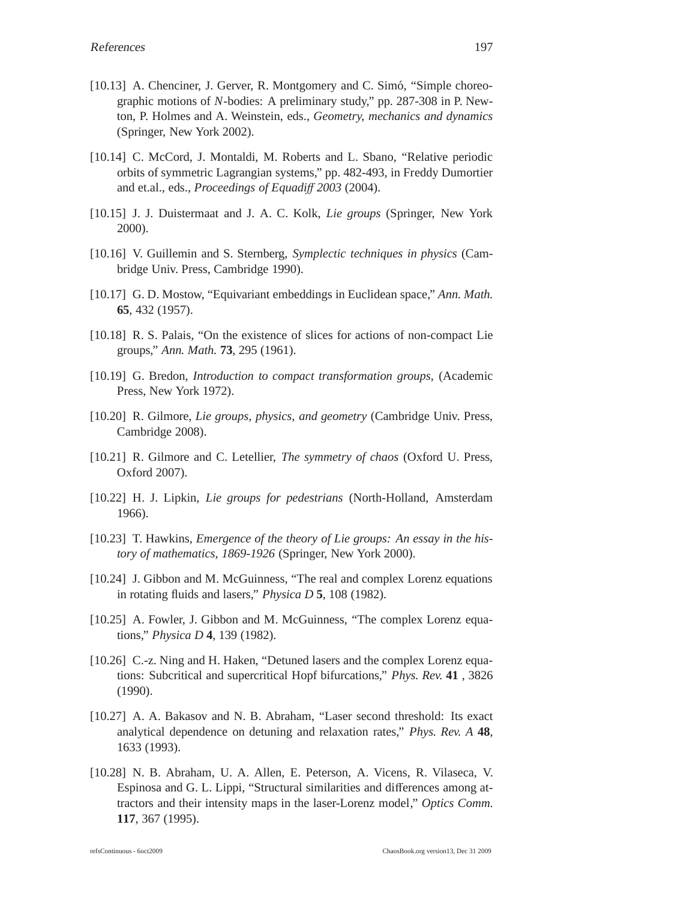- [10.13] A. Chenciner, J. Gerver, R. Montgomery and C. Simó, "Simple choreographic motions of *N*-bodies: A preliminary study," pp. 287-308 in P. Newton, P. Holmes and A. Weinstein, eds., *Geometry, mechanics and dynamics* (Springer, New York 2002).
- [10.14] C. McCord, J. Montaldi, M. Roberts and L. Sbano, "Relative periodic orbits of symmetric Lagrangian systems," pp. 482-493, in Freddy Dumortier and et.al., eds., *Proceedings of Equadi*ff *2003* (2004).
- [10.15] J. J. Duistermaat and J. A. C. Kolk, *Lie groups* (Springer, New York 2000).
- [10.16] V. Guillemin and S. Sternberg, *Symplectic techniques in physics* (Cambridge Univ. Press, Cambridge 1990).
- [10.17] G. D. Mostow, "Equivariant embeddings in Euclidean space," *Ann. Math.* **65**, 432 (1957).
- [10.18] R. S. Palais, "On the existence of slices for actions of non-compact Lie groups," *Ann. Math.* **73**, 295 (1961).
- [10.19] G. Bredon, *Introduction to compact transformation groups*, (Academic Press, New York 1972).
- [10.20] R. Gilmore, *Lie groups, physics, and geometry* (Cambridge Univ. Press, Cambridge 2008).
- [10.21] R. Gilmore and C. Letellier, *The symmetry of chaos* (Oxford U. Press, Oxford 2007).
- [10.22] H. J. Lipkin, *Lie groups for pedestrians* (North-Holland, Amsterdam 1966).
- [10.23] T. Hawkins, *Emergence of the theory of Lie groups: An essay in the history of mathematics, 1869-1926* (Springer, New York 2000).
- [10.24] J. Gibbon and M. McGuinness, "The real and complex Lorenz equations in rotating fluids and lasers," *Physica D* **5**, 108 (1982).
- [10.25] A. Fowler, J. Gibbon and M. McGuinness, "The complex Lorenz equations," *Physica D* **4**, 139 (1982).
- [10.26] C.-z. Ning and H. Haken, "Detuned lasers and the complex Lorenz equations: Subcritical and supercritical Hopf bifurcations," *Phys. Rev.* **41** , 3826 (1990).
- [10.27] A. A. Bakasov and N. B. Abraham, "Laser second threshold: Its exact analytical dependence on detuning and relaxation rates," *Phys. Rev. A* **48**, 1633 (1993).
- [10.28] N. B. Abraham, U. A. Allen, E. Peterson, A. Vicens, R. Vilaseca, V. Espinosa and G. L. Lippi, "Structural similarities and differences among attractors and their intensity maps in the laser-Lorenz model," *Optics Comm.* **117**, 367 (1995).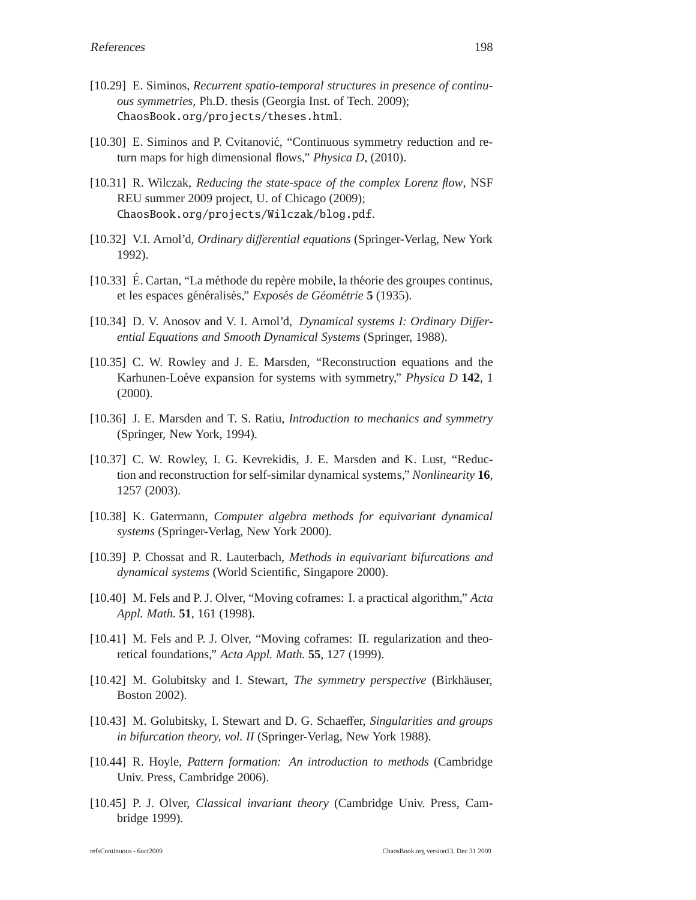- [10.29] E. Siminos, *Recurrent spatio-temporal structures in presence of continuous symmetries,* Ph.D. thesis (Georgia Inst. of Tech. 2009); ChaosBook.org/projects/theses.html.
- [10.30] E. Siminos and P. Cvitanović, "Continuous symmetry reduction and return maps for high dimensional flows," *Physica D*, (2010).
- [10.31] R. Wilczak, *Reducing the state-space of the complex Lorenz flow*, NSF REU summer 2009 project, U. of Chicago (2009); ChaosBook.org/projects/Wilczak/blog.pdf.
- [10.32] V.I. Arnol'd, *Ordinary di*ff*erential equations* (Springer-Verlag, New York 1992).
- [10.33] É. Cartan, "La méthode du repère mobile, la théorie des groupes continus, et les espaces généralisés," *Exposés de Géométrie* 5 (1935).
- [10.34] D. V. Anosov and V. I. Arnol'd, *Dynamical systems I: Ordinary Di*ff*erential Equations and Smooth Dynamical Systems* (Springer, 1988).
- [10.35] C. W. Rowley and J. E. Marsden, "Reconstruction equations and the Karhunen-Loéve expansion for systems with symmetry," *Physica D* 142, 1 (2000).
- [10.36] J. E. Marsden and T. S. Ratiu, *Introduction to mechanics and symmetry* (Springer, New York, 1994).
- [10.37] C. W. Rowley, I. G. Kevrekidis, J. E. Marsden and K. Lust, "Reduction and reconstruction for self-similar dynamical systems," *Nonlinearity* **16**, 1257 (2003).
- [10.38] K. Gatermann, *Computer algebra methods for equivariant dynamical systems* (Springer-Verlag, New York 2000).
- [10.39] P. Chossat and R. Lauterbach, *Methods in equivariant bifurcations and dynamical systems* (World Scientific, Singapore 2000).
- [10.40] M. Fels and P. J. Olver, "Moving coframes: I. a practical algorithm," *Acta Appl. Math.* **51**, 161 (1998).
- [10.41] M. Fels and P. J. Olver, "Moving coframes: II. regularization and theoretical foundations," *Acta Appl. Math.* **55**, 127 (1999).
- [10.42] M. Golubitsky and I. Stewart, *The symmetry perspective* (Birkhäuser, Boston 2002).
- [10.43] M. Golubitsky, I. Stewart and D. G. Schaeffer, *Singularities and groups in bifurcation theory, vol. II* (Springer-Verlag, New York 1988).
- [10.44] R. Hoyle, *Pattern formation: An introduction to methods* (Cambridge Univ. Press, Cambridge 2006).
- [10.45] P. J. Olver, *Classical invariant theory* (Cambridge Univ. Press, Cambridge 1999).